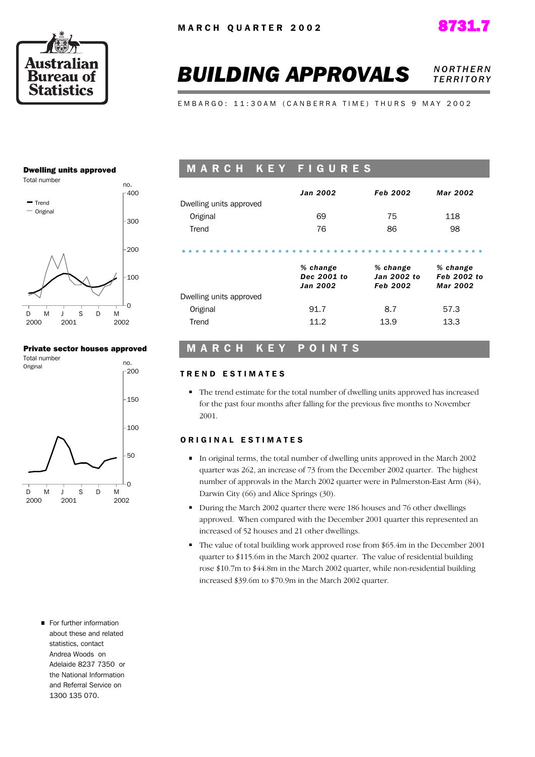





# **BUILDING APPROVALS NORTHERN** *T E R R I T O R Y*

E M B A R G O : 11:30 A M ( C A N B E R R A T I M E ) T H U R S 9 M A Y 2002

#### Dwelling units approved



#### Private sector houses approved



# M A R C H K E Y F I G U R E S

|                         | <b>Jan 2002</b>                            | Feb 2002                            | Mar 2002                            |
|-------------------------|--------------------------------------------|-------------------------------------|-------------------------------------|
| Dwelling units approved |                                            |                                     |                                     |
| Original                | 69                                         | 75                                  | 118                                 |
| Trend                   | 76                                         | 86                                  | 98                                  |
|                         | % change<br>Dec 2001 to<br><b>Jan 2002</b> | % change<br>Jan 2002 to<br>Feb 2002 | % change<br>Feb 2002 to<br>Mar 2002 |
| Dwelling units approved |                                            |                                     |                                     |
| Original                | 91.7                                       | 8.7                                 | 57.3                                |
| Trend                   | 11.2                                       | 13.9                                | 13.3                                |

## M A R C H K E Y P O I N T S

#### TREND ESTIMATES

The trend estimate for the total number of dwelling units approved has increased for the past four months after falling for the previous five months to November 2001.

#### ORIGINAL ESTIMATES

- In original terms, the total number of dwelling units approved in the March 2002 quarter was 262, an increase of 73 from the December 2002 quarter. The highest number of approvals in the March 2002 quarter were in Palmerston-East Arm (84), Darwin City (66) and Alice Springs (30).
- During the March 2002 quarter there were 186 houses and 76 other dwellings approved. When compared with the December 2001 quarter this represented an increased of 52 houses and 21 other dwellings.
- The value of total building work approved rose from \$65.4m in the December 2001 quarter to \$115.6m in the March 2002 quarter. The value of residential building rose \$10.7m to \$44.8m in the March 2002 quarter, while non-residential building increased \$39.6m to \$70.9m in the March 2002 quarter.
- For further information about these and related statistics, contact Andrea Woods on Adelaide 8237 7350 or the National Information and Referral Service on 1300 135 070.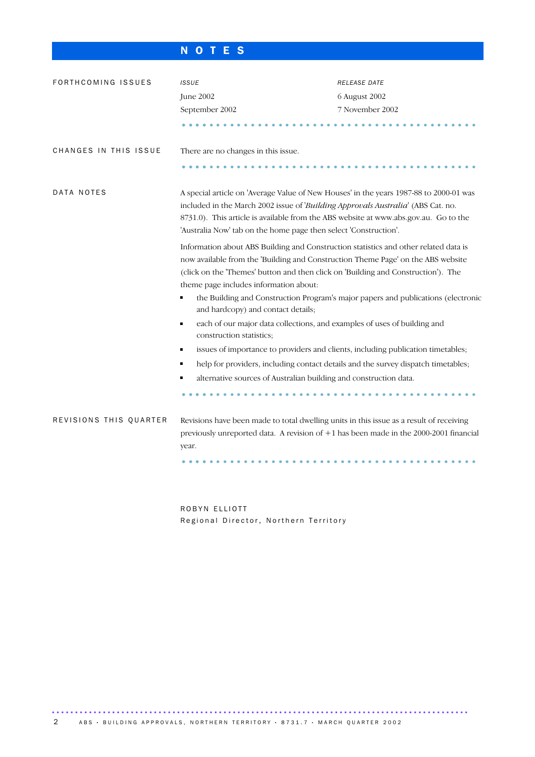# N O T E S

| FORTHCOMING ISSUES     | <b>ISSUE</b>                                                                                                                                                                                                                                                                                                                           | RELEASE DATE                                                                      |  |  |  |  |  |  |  |
|------------------------|----------------------------------------------------------------------------------------------------------------------------------------------------------------------------------------------------------------------------------------------------------------------------------------------------------------------------------------|-----------------------------------------------------------------------------------|--|--|--|--|--|--|--|
|                        | June 2002                                                                                                                                                                                                                                                                                                                              | 6 August 2002                                                                     |  |  |  |  |  |  |  |
|                        | September 2002                                                                                                                                                                                                                                                                                                                         | 7 November 2002                                                                   |  |  |  |  |  |  |  |
|                        |                                                                                                                                                                                                                                                                                                                                        |                                                                                   |  |  |  |  |  |  |  |
| CHANGES IN THIS ISSUE  | There are no changes in this issue.                                                                                                                                                                                                                                                                                                    |                                                                                   |  |  |  |  |  |  |  |
|                        |                                                                                                                                                                                                                                                                                                                                        |                                                                                   |  |  |  |  |  |  |  |
| DATA NOTES             | A special article on 'Average Value of New Houses' in the years 1987-88 to 2000-01 was<br>included in the March 2002 issue of 'Building Approvals Australia' (ABS Cat. no.<br>8731.0). This article is available from the ABS website at www.abs.gov.au. Go to the<br>'Australia Now' tab on the home page then select 'Construction'. |                                                                                   |  |  |  |  |  |  |  |
|                        | Information about ABS Building and Construction statistics and other related data is<br>now available from the 'Building and Construction Theme Page' on the ABS website<br>(click on the 'Themes' button and then click on 'Building and Construction'). The<br>theme page includes information about:                                |                                                                                   |  |  |  |  |  |  |  |
|                        | and hardcopy) and contact details;                                                                                                                                                                                                                                                                                                     | the Building and Construction Program's major papers and publications (electronic |  |  |  |  |  |  |  |
|                        | each of our major data collections, and examples of uses of building and<br>П<br>construction statistics;                                                                                                                                                                                                                              |                                                                                   |  |  |  |  |  |  |  |
|                        |                                                                                                                                                                                                                                                                                                                                        | issues of importance to providers and clients, including publication timetables;  |  |  |  |  |  |  |  |
|                        |                                                                                                                                                                                                                                                                                                                                        | help for providers, including contact details and the survey dispatch timetables; |  |  |  |  |  |  |  |
|                        | alternative sources of Australian building and construction data.                                                                                                                                                                                                                                                                      |                                                                                   |  |  |  |  |  |  |  |
|                        |                                                                                                                                                                                                                                                                                                                                        |                                                                                   |  |  |  |  |  |  |  |
| REVISIONS THIS QUARTER | Revisions have been made to total dwelling units in this issue as a result of receiving<br>previously unreported data. A revision of +1 has been made in the 2000-2001 financial<br>year.                                                                                                                                              |                                                                                   |  |  |  |  |  |  |  |
|                        |                                                                                                                                                                                                                                                                                                                                        |                                                                                   |  |  |  |  |  |  |  |
|                        |                                                                                                                                                                                                                                                                                                                                        |                                                                                   |  |  |  |  |  |  |  |

ROBYN ELLIOTT Regional Director, Northern Territory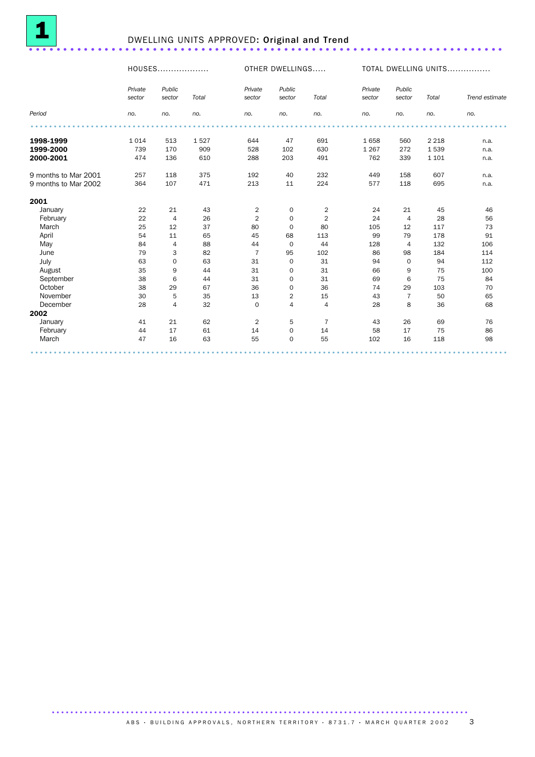

# <sup>1</sup> DWELLING UNITS APPROVED: Original and Trend .....................................................................

|                      |                   | HOUSES           |       |                   | OTHER DWELLINGS     |                |                   | TOTAL DWELLING UNITS |         |                |  |
|----------------------|-------------------|------------------|-------|-------------------|---------------------|----------------|-------------------|----------------------|---------|----------------|--|
|                      | Private<br>sector | Public<br>sector | Total | Private<br>sector | Public<br>sector    | Total          | Private<br>sector | Public<br>sector     | Total   | Trend estimate |  |
| Period               | no.               | no.              | no.   | no.               | no.                 | no.            | no.               | no.                  | no.     | no.            |  |
|                      |                   |                  |       |                   |                     |                |                   |                      |         |                |  |
| 1998-1999            | 1 0 1 4           | 513              | 1527  | 644               | 47                  | 691            | 1658              | 560                  | 2 2 1 8 | n.a.           |  |
| 1999-2000            | 739               | 170              | 909   | 528               | 102                 | 630            | 1 2 6 7           | 272                  | 1539    | n.a.           |  |
| 2000-2001            | 474               | 136              | 610   | 288               | 203                 | 491            | 762               | 339                  | 1 1 0 1 | n.a.           |  |
| 9 months to Mar 2001 | 257               | 118              | 375   | 192               | 40                  | 232            | 449               | 158                  | 607     | n.a.           |  |
| 9 months to Mar 2002 | 364               | 107              | 471   | 213               | 11                  | 224            | 577               | 118                  | 695     | n.a.           |  |
| 2001                 |                   |                  |       |                   |                     |                |                   |                      |         |                |  |
| January              | 22                | 21               | 43    | $\overline{2}$    | 0                   | $\overline{2}$ | 24                | 21                   | 45      | 46             |  |
| February             | 22                | $\overline{4}$   | 26    | $\sqrt{2}$        | $\mathbf 0$         | $\overline{2}$ | 24                | $\overline{4}$       | 28      | 56             |  |
| March                | 25                | 12               | 37    | 80                | $\mathbf 0$         | 80             | 105               | 12                   | 117     | 73             |  |
| April                | 54                | 11               | 65    | 45                | 68                  | 113            | 99                | 79                   | 178     | 91             |  |
| May                  | 84                | $\overline{4}$   | 88    | 44                | $\mathbf 0$         | 44             | 128               | $\overline{4}$       | 132     | 106            |  |
| June                 | 79                | 3                | 82    | $\overline{7}$    | 95                  | 102            | 86                | 98                   | 184     | 114            |  |
| July                 | 63                | $\mathbf 0$      | 63    | 31                | $\mathbf 0$         | 31             | 94                | $\mathbf 0$          | 94      | 112            |  |
| August               | 35                | 9                | 44    | 31                | $\mathbf 0$         | 31             | 66                | 9                    | 75      | 100            |  |
| September            | 38                | 6                | 44    | 31                | $\mathbf 0$         | 31             | 69                | 6                    | 75      | 84             |  |
| October              | 38                | 29               | 67    | 36                | $\mathbf 0$         | 36             | 74                | 29                   | 103     | 70             |  |
| November             | 30                | 5                | 35    | 13                | $\overline{2}$      | 15             | 43                | $\overline{7}$       | 50      | 65             |  |
| December             | 28                | $\overline{4}$   | 32    | $\mathbf 0$       | $\overline{4}$      | 4              | 28                | 8                    | 36      | 68             |  |
| 2002                 |                   |                  |       |                   |                     |                |                   |                      |         |                |  |
| January              | 41                | 21               | 62    | $\overline{2}$    | 5                   | $\overline{7}$ | 43                | 26                   | 69      | 76             |  |
| February             | 44                | 17               | 61    | 14                | $\mathsf{O}\xspace$ | 14             | 58                | 17                   | 75      | 86             |  |
| March                | 47                | 16               | 63    | 55                | $\mathbf 0$         | 55             | 102               | 16                   | 118     | 98             |  |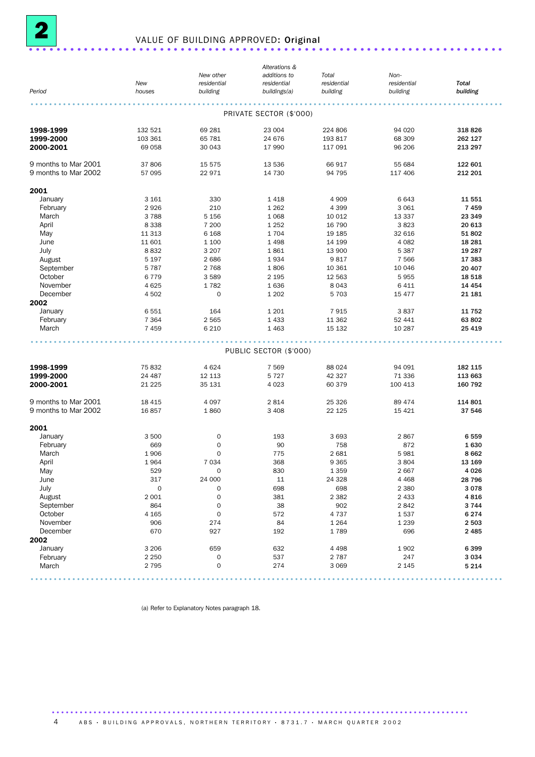

# <sup>2</sup> VALUE OF BUILDING APPROVED: Original .....................................................................

|                      |                     |                     | Alterations &           |             |             |          |
|----------------------|---------------------|---------------------|-------------------------|-------------|-------------|----------|
|                      |                     | New other           | additions to            | Total       | Non-        |          |
|                      | New                 | residential         | residential             | residential | residential | Total    |
| Period               | houses              | building            | buildings(a)            | building    | building    | building |
|                      |                     |                     |                         |             |             |          |
|                      |                     |                     | PRIVATE SECTOR (\$'000) |             |             |          |
|                      |                     |                     |                         |             |             |          |
| 1998-1999            | 132 521             | 69 281              | 23 004                  | 224 806     | 94 0 20     | 318826   |
| 1999-2000            | 103 361             | 65 781              | 24 676                  | 193 817     | 68 309      | 262 127  |
| 2000-2001            | 69 058              | 30 043              | 17 990                  | 117 091     | 96 206      | 213 297  |
|                      |                     |                     |                         |             |             |          |
| 9 months to Mar 2001 | 37 806              | 15 575              | 13 536                  | 66 917      | 55 684      | 122 601  |
| 9 months to Mar 2002 | 57 095              | 22 971              | 14 730                  | 94 795      | 117 406     | 212 201  |
| 2001                 |                     |                     |                         |             |             |          |
| January              | 3 1 6 1             | 330                 | 1418                    | 4 9 0 9     | 6 6 4 3     | 11 551   |
| February             | 2926                | 210                 | 1 2 6 2                 | 4 3 9 9     | 3 0 6 1     | 7459     |
|                      | 3788                |                     |                         | 10 0 12     |             | 23 349   |
| March                |                     | 5 1 5 6             | 1 0 6 8                 |             | 13 3 3 7    |          |
| April                | 8 3 3 8             | 7 200               | 1 2 5 2                 | 16 790      | 3823        | 20 613   |
| May                  | 11 313              | 6 1 6 8             | 1704                    | 19 185      | 32 616      | 51 802   |
| June                 | 11 601              | 1 100               | 1 4 9 8                 | 14 199      | 4 0 8 2     | 18 28 1  |
| July                 | 8832                | 3 2 0 7             | 1861                    | 13 900      | 5 3 8 7     | 19 287   |
| August               | 5 1 9 7             | 2686                | 1934                    | 9817        | 7 5 6 6     | 17 383   |
| September            | 5 7 8 7             | 2 7 6 8             | 1806                    | 10 361      | 10 046      | 20 407   |
| October              | 6779                | 3589                | 2 1 9 5                 | 12 5 63     | 5955        | 18 5 18  |
| November             | 4 6 25              | 1782                | 1636                    | 8043        | 6 4 1 1     | 14 4 54  |
| December             | 4 502               | $\mathbf 0$         | 1 2 0 2                 | 5 7 0 3     | 15 477      | 21 181   |
| 2002                 |                     |                     |                         |             |             |          |
| January              | 6551                | 164                 | 1 2 0 1                 | 7915        | 3837        | 11 752   |
| February             | 7 3 6 4             | 2 5 6 5             | 1 4 3 3                 | 11 362      | 52 441      | 63 802   |
| March                | 7 4 5 9             | 6 2 1 0             | 1 4 6 3                 | 15 132      | 10 287      | 25 4 19  |
|                      |                     |                     |                         |             |             |          |
|                      |                     |                     |                         |             |             |          |
|                      |                     |                     | PUBLIC SECTOR (\$'000)  |             |             |          |
| 1998-1999            | 75 832              | 4 6 2 4             | 7 5 6 9                 | 88 0 24     | 94 091      | 182 115  |
| 1999-2000            | 24 487              | 12 113              | 5 7 2 7                 | 42 327      | 71 336      | 113 663  |
|                      | 21 2 25             | 35 131              | 4 0 23                  | 60 379      | 100 413     | 160 792  |
| 2000-2001            |                     |                     |                         |             |             |          |
| 9 months to Mar 2001 | 18 4 15             | 4 0 9 7             | 2814                    | 25 3 26     | 89 474      | 114 801  |
| 9 months to Mar 2002 | 16857               | 1860                | 3 4 0 8                 | 22 1 25     | 15 4 21     | 37 546   |
|                      |                     |                     |                         |             |             |          |
| 2001                 |                     |                     |                         |             |             |          |
| January              | 3 500               | 0                   | 193                     | 3693        | 2867        | 6559     |
| February             | 669                 | $\mathbf 0$         | 90                      | 758         | 872         | 1630     |
| March                | 1906                | $\mathbf 0$         | 775                     | 2 6 8 1     | 5981        | 8662     |
| April                | 1964                | 7 0 3 4             | 368                     | 9 3 6 5     | 3804        | 13 169   |
| May                  | 529                 | $\mathsf{O}\xspace$ | 830                     | 1 3 5 9     | 2667        | 4 0 2 6  |
| June                 | 317                 | 24 000              | 11                      | 24 3 28     | 4 4 6 8     | 28 7 96  |
|                      |                     |                     | 698                     |             | 2 3 8 0     | 3 0 7 8  |
| July                 | $\mathsf{O}\xspace$ | $\mathsf{O}\xspace$ |                         | 698         |             |          |
| August               | 2 0 0 1             | $\mathsf{O}\xspace$ | 381                     | 2 3 8 2     | 2 4 3 3     | 4816     |
| September            | 864                 | $\mathsf{O}\xspace$ | 38                      | 902         | 2842        | 3 7 4 4  |
| October              | 4 1 65              | $\mathsf{O}\xspace$ | 572                     | 4737        | 1537        | 6 2 7 4  |
| November             | 906                 | 274                 | 84                      | 1 2 6 4     | 1 2 3 9     | 2 5 0 3  |
| December             | 670                 | 927                 | 192                     | 1789        | 696         | 2 4 8 5  |
| 2002                 |                     |                     |                         |             |             |          |
| January              | 3 2 0 6             | 659                 | 632                     | 4 4 9 8     | 1 9 0 2     | 6399     |
| February             | 2 2 5 0             | $\mathsf{O}\xspace$ | 537                     | 2 7 8 7     | 247         | 3 0 3 4  |
| March                | 2 7 9 5             | $\mathsf{O}\xspace$ | 274                     | 3 0 6 9     | 2 1 4 5     | 5 2 1 4  |
|                      |                     |                     |                         |             |             |          |

......................................................................................................

(a) Refer to Explanatory Notes paragraph 18.

4 ABS · BUILDING APPROVALS, NORTHERN TERRITORY · 8731.7 · MARCH QUARTER 2002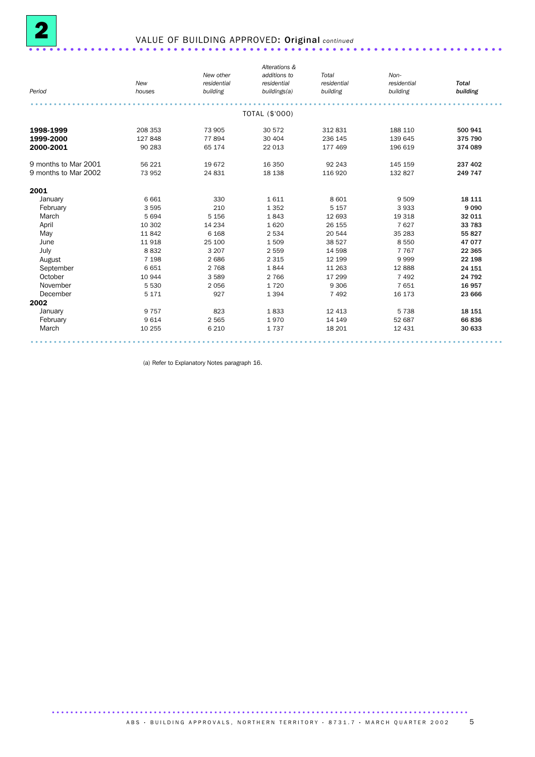

# 2 VALUE OF BUILDING APPROVED: Original *continued* .....................................................................

|                      |         |             | Alterations &  |             |             |              |
|----------------------|---------|-------------|----------------|-------------|-------------|--------------|
|                      |         | New other   | additions to   | Total       | Non-        |              |
|                      | New     | residential | residential    | residential | residential | <b>Total</b> |
| Period               | houses  | building    | buildings(a)   | building    | building    | building     |
|                      |         |             |                |             |             |              |
|                      |         |             | TOTAL (\$'000) |             |             |              |
| 1998-1999            | 208 353 | 73 905      | 30 572         | 312831      | 188 110     | 500 941      |
| 1999-2000            | 127 848 | 77894       | 30 40 4        | 236 145     | 139 645     | 375 790      |
| 2000-2001            | 90 283  | 65 174      | 22 013         | 177 469     | 196 619     | 374 089      |
| 9 months to Mar 2001 | 56 221  | 19672       | 16 350         | 92 243      | 145 159     | 237 402      |
| 9 months to Mar 2002 | 73 952  | 24 831      | 18 138         | 116 920     | 132 827     | 249 747      |
| 2001                 |         |             |                |             |             |              |
| January              | 6 6 6 1 | 330         | 1611           | 8 6 0 1     | 9 5 0 9     | 18 111       |
| February             | 3 5 9 5 | 210         | 1 3 5 2        | 5 1 5 7     | 3933        | 9 0 9 0      |
| March                | 5 6 9 4 | 5 1 5 6     | 1843           | 12 693      | 19 318      | 32 011       |
| April                | 10 302  | 14 2 34     | 1620           | 26 155      | 7627        | 33 783       |
| May                  | 11842   | 6 1 6 8     | 2 5 3 4        | 20 544      | 35 283      | 55 827       |
| June                 | 11 918  | 25 100      | 1509           | 38 5 27     | 8 5 5 0     | 47 077       |
| July                 | 8832    | 3 2 0 7     | 2 5 5 9        | 14 5 98     | 7 7 6 7     | 22 3 65      |
| August               | 7 1 9 8 | 2 6 8 6     | 2 3 1 5        | 12 199      | 9999        | 22 198       |
| September            | 6651    | 2 7 6 8     | 1844           | 11 263      | 12888       | 24 151       |
| October              | 10 944  | 3589        | 2 7 6 6        | 17 299      | 7 4 9 2     | 24 792       |
| November             | 5 5 3 0 | 2 0 5 6     | 1720           | 9 3 0 6     | 7651        | 16 957       |
| December             | 5 1 7 1 | 927         | 1 3 9 4        | 7 4 9 2     | 16 173      | 23 666       |
| 2002                 |         |             |                |             |             |              |
| January              | 9 7 5 7 | 823         | 1833           | 12 4 13     | 5 7 3 8     | 18 15 1      |
| February             | 9614    | 2 5 6 5     | 1970           | 14 14 9     | 52 687      | 66836        |
| March                | 10 255  | 6 2 1 0     | 1737           | 18 201      | 12 431      | 30 633       |
|                      |         |             |                |             |             |              |

(a) Refer to Explanatory Notes paragraph 16.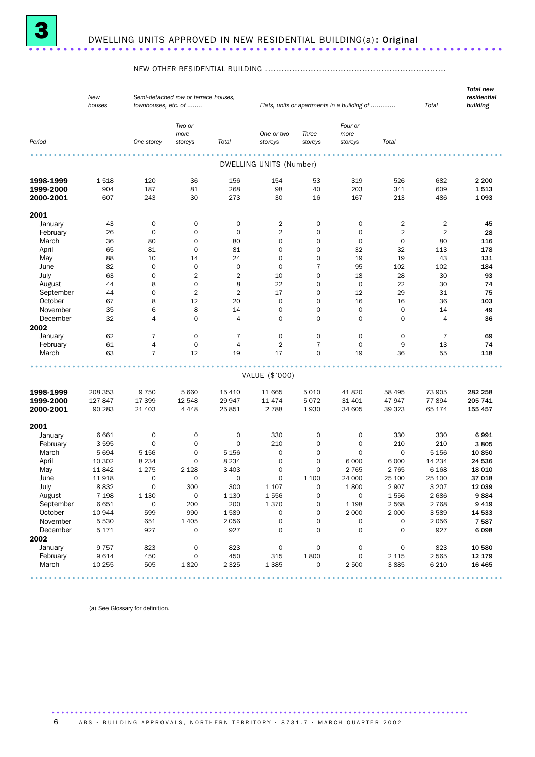

#### NEW OTHER RESIDENTIAL BUILDING ...................................................................

|                     | New<br>houses | townhouses, etc. of | Semi-detached row or terrace houses, |                |                                |                     | Flats, units or apartments in a building of |                | Total          | <b>Total new</b><br>residential<br>building |
|---------------------|---------------|---------------------|--------------------------------------|----------------|--------------------------------|---------------------|---------------------------------------------|----------------|----------------|---------------------------------------------|
|                     |               |                     | Two or<br>more                       |                | One or two                     | Three               | Four or<br>more                             |                |                |                                             |
| Period              |               | One storey          | storeys                              | Total          | storeys                        | storeys             | storeys                                     | Total          |                |                                             |
|                     |               |                     |                                      |                |                                |                     |                                             |                |                |                                             |
|                     |               |                     |                                      |                | <b>DWELLING UNITS (Number)</b> |                     |                                             |                |                |                                             |
| 1998-1999           | 1518          | 120                 | 36                                   | 156            | 154                            | 53                  | 319                                         | 526            | 682            | 2 2 0 0                                     |
| 1999-2000           | 904           | 187                 | 81                                   | 268            | 98                             | 40                  | 203                                         | 341            | 609            | 1513                                        |
| 2000-2001           | 607           | 243                 | 30                                   | 273            | 30                             | 16                  | 167                                         | 213            | 486            | 1093                                        |
| 2001                |               |                     |                                      |                |                                |                     |                                             |                |                |                                             |
|                     |               | $\mathbf 0$         | $\mathbf 0$                          | 0              | $\overline{2}$                 | $\mathbf 0$         | $\mathbf 0$                                 | $\overline{2}$ | $\overline{2}$ | 45                                          |
| January<br>February | 43<br>26      | $\mathbf 0$         | 0                                    | $\mathbf 0$    | $\sqrt{2}$                     | $\mathbf 0$         | $\mathbf 0$                                 | $\overline{2}$ | $\overline{2}$ | 28                                          |
| March               | 36            | 80                  | 0                                    | 80             | $\mathbf 0$                    | $\mathbf 0$         | $\mathbf 0$                                 | $\mathbf 0$    | 80             | 116                                         |
| April               | 65            | 81                  | $\mathbf 0$                          | 81             | $\mathbf 0$                    | $\mathbf 0$         | 32                                          | 32             | 113            | 178                                         |
| May                 | 88            | 10                  | 14                                   | 24             | $\mathbf 0$                    | $\mathbf 0$         | 19                                          | 19             | 43             | 131                                         |
| June                | 82            | $\mathbf 0$         | $\mathbf 0$                          | $\mathbf 0$    | $\mathbf 0$                    | $\overline{7}$      | 95                                          | 102            | 102            | 184                                         |
| July                | 63            | $\mathbf 0$         | $\sqrt{2}$                           | $\overline{c}$ | 10                             | $\mathbf 0$         | 18                                          | 28             | 30             | 93                                          |
| August              | 44            | 8                   | $\mathbf 0$                          | 8              | 22                             | $\mathbf 0$         | 0                                           | 22             | 30             | 74                                          |
| September           | 44            | $\mathbf 0$         | 2                                    | $\overline{2}$ | 17                             | $\mathbf 0$         | 12                                          | 29             | 31             | 75                                          |
| October             | 67            | 8                   | 12                                   | 20             | $\mathbf 0$                    | $\mathbf 0$         | 16                                          | 16             | 36             | 103                                         |
| November            | 35            | 6                   | 8                                    | 14             | $\mathbf 0$                    | $\mathbf 0$         | $\mathbf 0$                                 | $\mathbf 0$    | 14             | 49                                          |
| December            | 32            | $\overline{4}$      | 0                                    | $\overline{4}$ | $\mathbf 0$                    | $\mathbf 0$         | $\mathbf 0$                                 | $\mathbf 0$    | 4              | 36                                          |
| 2002                |               |                     |                                      |                |                                |                     |                                             |                |                |                                             |
| January             | 62            | $\overline{7}$      | $\mathsf{O}\xspace$                  | 7              | $\mathbf 0$                    | $\mathbf 0$         | 0                                           | 0              | $\overline{7}$ | 69                                          |
| February            | 61            | 4                   | $\mathbf 0$                          | $\overline{4}$ | $\overline{2}$                 | $\overline{7}$      | $\mathbf 0$                                 | 9              | 13             | 74                                          |
| March               | 63            | $\overline{7}$      | 12                                   | 19             | 17                             | $\mathbf 0$         | 19                                          | 36             | 55             | 118                                         |
|                     |               |                     |                                      |                |                                |                     |                                             |                |                |                                             |
|                     |               |                     |                                      |                | VALUE (\$'000)                 |                     |                                             |                |                |                                             |
| 1998-1999           | 208 353       | 9 7 5 0             | 5 6 6 0                              | 15 4 10        | 11 665                         | 5 0 1 0             | 41 820                                      | 58 495         | 73 905         | 282 258                                     |
| 1999-2000           | 127 847       | 17 399              | 12 548                               | 29 947         | 11 474                         | 5072                | 31 401                                      | 47947          | 77894          | 205 741                                     |
| 2000-2001           | 90 283        | 21 403              | 4 4 4 8                              | 25 851         | 2 7 8 8                        | 1930                | 34 605                                      | 39 323         | 65 174         | 155 457                                     |
|                     |               |                     |                                      |                |                                |                     |                                             |                |                |                                             |
| 2001<br>January     | 6 6 6 1       | $\mathbf 0$         | $\mathbf 0$                          | 0              | 330                            | $\mathbf 0$         | $\mathbf 0$                                 | 330            | 330            | 6991                                        |
| February            | 3 5 9 5       | 0                   | 0                                    | $\mathbf 0$    | 210                            | $\mathbf 0$         | 0                                           | 210            | 210            | 3805                                        |
| March               | 5 6 9 4       | 5 1 5 6             | 0                                    | 5 1 5 6        | 0                              | $\mathbf 0$         | $\mathbf 0$                                 | $\mathbf 0$    | 5 1 5 6        | 10850                                       |
| April               | 10 302        | 8 2 3 4             | 0                                    | 8 2 3 4        | $\mathbf 0$                    | $\mathbf 0$         | 6 0 0 0                                     | 6 0 0 0        | 14 2 34        | 24 536                                      |
| May                 | 11842         | 1 2 7 5             | 2 1 2 8                              | 3 4 0 3        | $\mathbf 0$                    | $\mathbf 0$         | 2 7 6 5                                     | 2 7 6 5        | 6 1 6 8        | 18 0 10                                     |
| June                | 11918         | $\mathbf 0$         | 0                                    | 0              | 0                              | 1 100               | 24 000                                      | 25 100         | 25 100         | 37 018                                      |
| July                | 8832          | $\mathbf 0$         | 300                                  | 300            | 1 1 0 7                        | $\Omega$            | 1800                                        | 2 9 0 7        | 3 2 0 7        | 12 039                                      |
| August              | 7 1 9 8       | 1 1 3 0             | $\mathsf{O}\xspace$                  | 1 1 3 0        | 1556                           | $\mathsf{O}\xspace$ | $\mathsf{O}\xspace$                         | 1556           | 2686           | 9884                                        |
| September           | 6651          | $\mathbf 0$         | 200                                  | 200            | 1370                           | $\mathsf{O}\xspace$ | 1 1 9 8                                     | 2 5 6 8        | 2 7 6 8        | 9419                                        |
| October             | 10 944        | 599                 | 990                                  | 1589           | $\mathsf{O}\xspace$            | $\mathsf{O}\xspace$ | 2 0 0 0                                     | 2 0 0 0        | 3589           | 14 533                                      |
| November            | 5 5 3 0       | 651                 | 1 4 0 5                              | 2 0 5 6        | $\mathsf{O}\xspace$            | $\mathsf{O}\xspace$ | 0                                           | 0              | 2056           | 7587                                        |
| December            | 5 1 7 1       | 927                 | $\mathsf{O}\xspace$                  | 927            | $\mathbf 0$                    | $\mathbf 0$         | 0                                           | $\mathbf 0$    | 927            | 6098                                        |
| 2002                |               |                     |                                      |                |                                |                     |                                             |                |                |                                             |
| January             | 9757          | 823                 | $\mathsf{O}\xspace$                  | 823            | $\mathsf{O}\xspace$            | $\mathsf{O}\xspace$ | 0                                           | $\mathbf 0$    | 823            | 10 580                                      |
| February            | 9614          | 450                 | 0                                    | 450            | 315                            | 1800                | $\mathsf{O}\xspace$                         | 2 1 1 5        | 2 5 6 5        | 12 179                                      |
| March               | 10 255        | 505                 | 1820                                 | 2 3 2 5        | 1 3 8 5                        | $\mathbf 0$         | 2 500                                       | 3885           | 6 2 1 0        | 16 4 65                                     |

(a) See Glossary for definition.

6 ABS · BUILDING APPROVALS, NORTHERN TERRITORY · 8731.7 · MARCH QUARTER 2002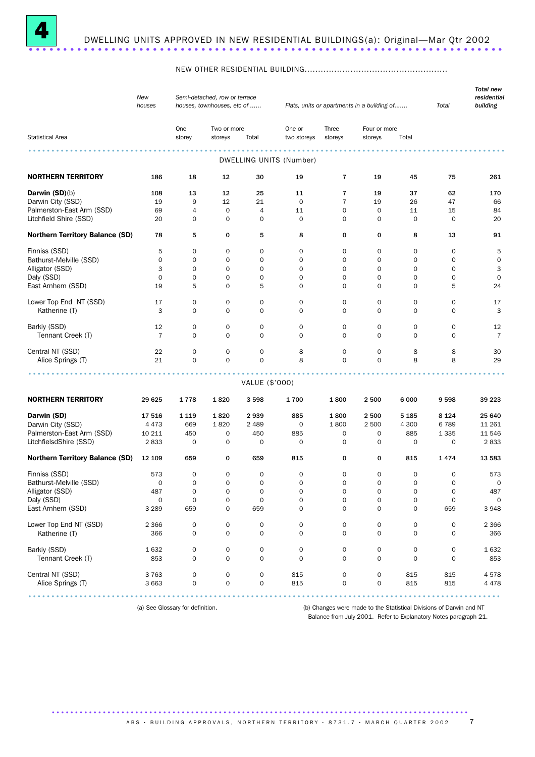

#### NEW OTHER RESIDENTIAL BUILDING.....................................................

|                                        | New<br>Semi-detached, row or terrace<br>houses<br>houses, townhouses, etc of<br>Flats, units or apartments in a building of |                            |                                    |                            |                         |                          | Total               | <b>Total new</b><br>residential<br>building |                  |                |
|----------------------------------------|-----------------------------------------------------------------------------------------------------------------------------|----------------------------|------------------------------------|----------------------------|-------------------------|--------------------------|---------------------|---------------------------------------------|------------------|----------------|
|                                        |                                                                                                                             | One                        | Two or more                        |                            | One or                  | Three                    | Four or more        |                                             |                  |                |
| <b>Statistical Area</b>                |                                                                                                                             | storey                     | storeys                            | Total                      | two storeys             | storeys                  | storeys             | Total                                       |                  |                |
|                                        |                                                                                                                             |                            |                                    |                            | DWELLING UNITS (Number) |                          |                     |                                             |                  |                |
|                                        |                                                                                                                             |                            |                                    |                            |                         |                          |                     |                                             |                  |                |
| <b>NORTHERN TERRITORY</b>              | 186                                                                                                                         | 18                         | 12                                 | 30                         | 19                      | 7                        | 19                  | 45                                          | 75               | 261            |
| Darwin (SD)(b)                         | 108                                                                                                                         | 13                         | 12                                 | 25                         | 11                      | 7                        | 19                  | 37                                          | 62               | 170            |
| Darwin City (SSD)                      | 19                                                                                                                          | 9                          | 12                                 | 21                         | $\mathbf 0$             | $\overline{7}$           | 19                  | 26                                          | 47               | 66             |
| Palmerston-East Arm (SSD)              | 69                                                                                                                          | 4                          | $\mathbf 0$                        | 4                          | 11                      | $\mathbf 0$              | $\mathbf 0$         | 11                                          | 15               | 84             |
| Litchfield Shire (SSD)                 | 20                                                                                                                          | 0                          | $\mathbf 0$                        | 0                          | 0                       | 0                        | 0                   | $\mathbf 0$                                 | $\mathbf 0$      | 20             |
| <b>Northern Territory Balance (SD)</b> | 78                                                                                                                          | 5                          | 0                                  | 5                          | 8                       | 0                        | 0                   | 8                                           | 13               | 91             |
| Finniss (SSD)                          | 5                                                                                                                           | 0                          | 0                                  | 0                          | 0                       | 0                        | 0                   | 0                                           | 0                | 5              |
| Bathurst-Melville (SSD)                | $\mathbf 0$                                                                                                                 | 0                          | $\mathbf 0$                        | 0                          | 0                       | $\mathbf 0$              | $\mathbf 0$         | 0                                           | 0                | $\mathbf 0$    |
| Alligator (SSD)                        | 3                                                                                                                           | $\mathbf 0$                | $\mathbf 0$                        | 0                          | 0                       | $\mathbf 0$              | $\mathbf 0$         | $\mathbf 0$                                 | 0                | 3              |
| Daly (SSD)                             | 0                                                                                                                           | 0                          | $\mathbf 0$                        | 0                          | 0                       | $\mathbf 0$              | $\mathbf 0$         | 0                                           | 0                | $\mathbf 0$    |
| East Arnhem (SSD)                      | 19                                                                                                                          | 5                          | 0                                  | 5                          | $\mathbf 0$             | 0                        | $\mathbf 0$         | 0                                           | 5                | 24             |
| Lower Top End NT (SSD)                 | 17                                                                                                                          | $\mathbf 0$                | $\mathbf 0$                        | 0                          | 0                       | $\mathbf 0$              | 0                   | 0                                           | $\mathbf 0$      | 17             |
| Katherine (T)                          | 3                                                                                                                           | 0                          | $\mathbf 0$                        | $\mathbf 0$                | $\mathbf 0$             | $\mathbf 0$              | $\mathbf 0$         | $\mathbf 0$                                 | $\mathbf 0$      | 3              |
| Barkly (SSD)                           | 12                                                                                                                          | 0                          | $\mathbf 0$                        | 0                          | 0                       | $\mathbf 0$              | $\mathbf 0$         | 0                                           | 0                | 12             |
| Tennant Creek (T)                      | $\overline{7}$                                                                                                              | $\mathbf 0$                | $\mathbf 0$                        | $\mathbf 0$                | $\mathbf 0$             | $\mathbf 0$              | $\mathbf 0$         | $\mathbf 0$                                 | $\mathbf 0$      | $\overline{7}$ |
|                                        |                                                                                                                             |                            |                                    |                            |                         |                          |                     |                                             |                  |                |
| Central NT (SSD)                       | 22                                                                                                                          | 0                          | $\mathbf 0$                        | 0                          | 8                       | 0                        | 0                   | 8                                           | 8                | 30             |
| Alice Springs (T)                      | 21                                                                                                                          | $\mathbf 0$                | $\mathbf 0$                        | $\mathbf 0$                | 8                       | $\mathbf 0$              | $\mathbf 0$         | 8                                           | 8                | 29             |
|                                        |                                                                                                                             |                            |                                    | VALUE (\$'000)             |                         |                          |                     |                                             |                  |                |
|                                        |                                                                                                                             |                            |                                    |                            |                         |                          |                     |                                             |                  |                |
| <b>NORTHERN TERRITORY</b>              | 29 625                                                                                                                      | 1778                       | 1820                               | 3598                       | 1700                    | 1800                     | 2 500               | 6 0 0 0                                     | 9598             | 39 223         |
| Darwin (SD)                            | 17 516                                                                                                                      | 1 1 1 9                    | 1820                               | 2939                       | 885                     | 1800                     | 2 500               | 5 1 8 5                                     | 8 1 2 4          | 25 640         |
| Darwin City (SSD)                      | 4 4 7 3                                                                                                                     | 669                        | 1820                               | 2 4 8 9                    | 0                       | 1800                     | 2 500               | 4 300                                       | 6789             | 11 261         |
| Palmerston-East Arm (SSD)              | 10 211                                                                                                                      | 450                        | 0                                  | 450                        | 885                     | 0                        | 0                   | 885                                         | 1 3 3 5          | 11 546         |
| LitchfielsdShire (SSD)                 | 2833                                                                                                                        | 0                          | 0                                  | 0                          | 0                       | 0                        | 0                   | 0                                           | 0                | 2833           |
| <b>Northern Territory Balance (SD)</b> | 12 109                                                                                                                      | 659                        | 0                                  | 659                        | 815                     | 0                        | 0                   | 815                                         | 1474             | 13 583         |
| Finniss (SSD)                          | 573                                                                                                                         | 0                          | 0                                  | 0                          | 0                       | 0                        | 0                   | 0                                           | 0                | 573            |
| Bathurst-Melville (SSD)                | 0                                                                                                                           | $\mathbf 0$                | $\mathbf 0$                        | $\mathbf 0$                | $\mathbf 0$             | $\mathbf 0$              | $\mathbf 0$         | $\mathbf 0$                                 | $\mathbf 0$      | 0              |
| Alligator (SSD)                        | 487                                                                                                                         | 0                          | $\mathsf{O}\xspace$                | 0                          | 0                       | 0                        | 0                   | 0                                           | 0                | 487            |
| Daly (SSD)                             | $\mathsf{O}\xspace$                                                                                                         | $\mathbf 0$                | $\mathsf{O}\xspace$                | $\mathsf{O}\xspace$        | 0                       | $\mathsf{O}\xspace$      | $\mathsf{O}\xspace$ | $\mathsf{O}\xspace$                         | $\mathbf 0$      | 0              |
| East Arnhem (SSD)                      | 3 2 8 9                                                                                                                     | 659                        | $\mathbf 0$                        | 659                        | $\mathbf 0$             | 0                        | 0                   | $\mathbf 0$                                 | 659              | 3 9 4 8        |
| Lower Top End NT (SSD)                 |                                                                                                                             |                            |                                    |                            |                         |                          |                     |                                             |                  |                |
| Katherine (T)                          | 2 3 6 6<br>366                                                                                                              | $\mathbf 0$<br>$\mathbf 0$ | $\mathsf{O}\xspace$<br>$\mathbf 0$ | $\mathbf 0$<br>$\mathbf 0$ | 0<br>0                  | 0<br>$\mathsf{O}\xspace$ | 0<br>0              | 0<br>$\mathbf 0$                            | 0<br>$\mathbf 0$ | 2 3 6 6<br>366 |
|                                        |                                                                                                                             |                            |                                    |                            |                         |                          |                     |                                             |                  |                |
| Barkly (SSD)                           | 1632                                                                                                                        | $\boldsymbol{0}$           | $\mathsf{O}\xspace$                | $\mathsf{O}\xspace$        | 0                       | 0                        | 0                   | 0                                           | 0                | 1632           |
| Tennant Creek (T)                      | 853                                                                                                                         | $\mathbf 0$                | $\mathbf 0$                        | $\mathbf 0$                | $\mathbf 0$             | $\mathbf 0$              | 0                   | $\mathbf 0$                                 | $\mathbf 0$      | 853            |
| Central NT (SSD)                       | 3763                                                                                                                        | 0                          | $\mathsf{O}\xspace$                | 0                          | 815                     | 0                        | 0                   | 815                                         | 815              | 4578           |
| Alice Springs (T)                      | 3 6 6 3                                                                                                                     | 0                          | $\mathsf{O}\xspace$                | $\mathsf{O}\xspace$        | 815                     | 0                        | 0                   | 815                                         | 815              | 4 4 7 8        |
|                                        |                                                                                                                             |                            |                                    |                            |                         |                          |                     |                                             |                  |                |

(a) See Glossary for definition. (b) Changes were made to the Statistical Divisions of Darwin and NT

Balance from July 2001. Refer to Explanatory Notes paragraph 21.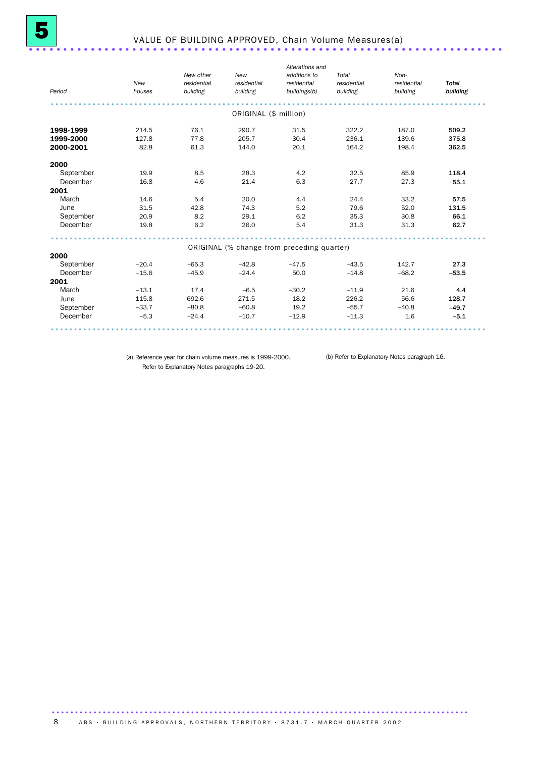| Period    | <b>New</b><br>houses | New other<br>residential<br>building | New<br>residential<br>building | Alterations and<br>additions to<br>residential<br>buildings(b) | Total<br>residential<br>building | Non-<br>residential<br>building | <b>Total</b><br>building |
|-----------|----------------------|--------------------------------------|--------------------------------|----------------------------------------------------------------|----------------------------------|---------------------------------|--------------------------|
|           |                      |                                      | ORIGINAL (\$ million)          |                                                                |                                  |                                 |                          |
| 1998-1999 | 214.5                | 76.1                                 | 290.7                          | 31.5                                                           | 322.2                            | 187.0                           | 509.2                    |
| 1999-2000 | 127.8                | 77.8                                 | 205.7                          | 30.4                                                           | 236.1                            | 139.6                           | 375.8                    |
| 2000-2001 | 82.8                 | 61.3                                 | 144.0                          | 20.1                                                           | 164.2                            | 198.4                           | 362.5                    |
| 2000      |                      |                                      |                                |                                                                |                                  |                                 |                          |
| September | 19.9                 | 8.5                                  | 28.3                           | 4.2                                                            | 32.5                             | 85.9                            | 118.4                    |
| December  | 16.8                 | 4.6                                  | 21.4                           | 6.3                                                            | 27.7                             | 27.3                            | 55.1                     |
| 2001      |                      |                                      |                                |                                                                |                                  |                                 |                          |
| March     | 14.6                 | 5.4                                  | 20.0                           | 4.4                                                            | 24.4                             | 33.2                            | 57.5                     |
| June      | 31.5                 | 42.8                                 | 74.3                           | 5.2                                                            | 79.6                             | 52.0                            | 131.5                    |
| September | 20.9                 | 8.2                                  | 29.1                           | 6.2                                                            | 35.3                             | 30.8                            | 66.1                     |
| December  | 19.8                 | 6.2                                  | 26.0                           | 5.4                                                            | 31.3                             | 31.3                            | 62.7                     |
|           |                      |                                      |                                | ORIGINAL (% change from preceding quarter)                     |                                  |                                 |                          |
| 2000      |                      |                                      |                                |                                                                |                                  |                                 |                          |
| September | $-20.4$              | $-65.3$                              | $-42.8$                        | $-47.5$                                                        | $-43.5$                          | 142.7                           | 27.3                     |
| December  | $-15.6$              | $-45.9$                              | $-24.4$                        | 50.0                                                           | $-14.8$                          | $-68.2$                         | $-53.5$                  |
| 2001      |                      |                                      |                                |                                                                |                                  |                                 |                          |
| March     | $-13.1$              | 17.4                                 | $-6.5$                         | $-30.2$                                                        | $-11.9$                          | 21.6                            | 4.4                      |
| June      | 115.8                | 692.6                                | 271.5                          | 18.2                                                           | 226.2                            | 56.6                            | 128.7                    |
| September | $-33.7$              | $-80.8$                              | $-60.8$                        | 19.2                                                           | $-55.7$                          | $-40.8$                         | $-49.7$                  |
| December  | $-5.3$               | $-24.4$                              | $-10.7$                        | $-12.9$                                                        | $-11.3$                          | 1.6                             | $-5.1$                   |

(a) Reference year for chain volume measures is 1999-2000. (b) Refer to Explanatory Notes paragraph 16.Refer to Explanatory Notes paragraphs 19-20.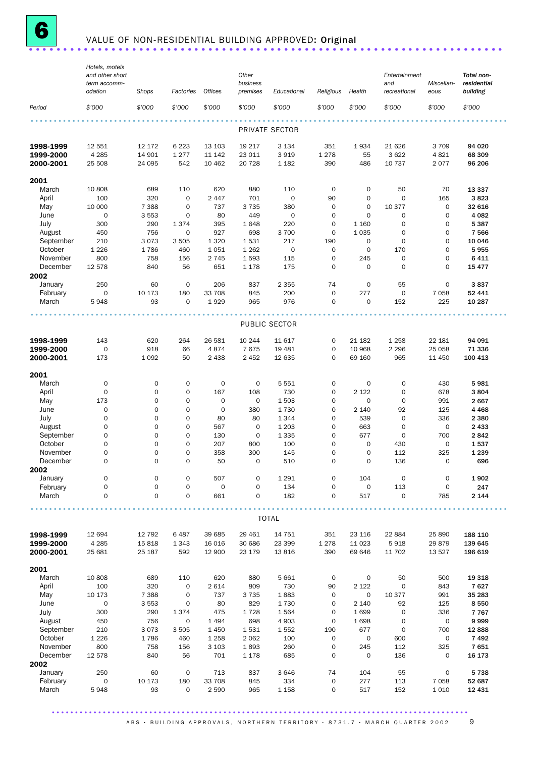

# **6** VALUE OF NON-RESIDENTIAL BUILDING APPROVED: Original .......................

|                        | Hotels, motels<br>and other short<br>term accomm- |                  |                     |                   | Other<br>business  |                     |                            |                   | Entertainment<br>and       | Miscellan-                 | Total non-<br>residential |
|------------------------|---------------------------------------------------|------------------|---------------------|-------------------|--------------------|---------------------|----------------------------|-------------------|----------------------------|----------------------------|---------------------------|
|                        | odation                                           | Shops            | Factories           | Offices           | premises           | Educational         | Religious                  | Health            | recreational               | eous                       | building                  |
| Period                 | \$'000                                            | \$'000           | \$'000              | \$'000            | \$'000             | \$'000              | \$'000                     | \$'000            | \$'000                     | \$7000                     | \$'000                    |
|                        |                                                   |                  |                     |                   |                    | PRIVATE SECTOR      |                            |                   |                            |                            |                           |
| 1998-1999              | 12 551                                            | 12 172           | 6 2 2 3             | 13 103            | 19 217             | 3 1 3 4             | 351                        | 1934              | 21 6 26                    | 3 7 0 9                    | 94 020                    |
| 1999-2000<br>2000-2001 | 4 2 8 5<br>25 508                                 | 14 901<br>24 095 | 1 2 7 7<br>542      | 11 142<br>10 4 62 | 23 011<br>20 728   | 3919<br>1 1 8 2     | 1 2 7 8<br>390             | 55<br>486         | 3 6 2 2<br>10 737          | 4821<br>2 0 7 7            | 68 309<br>96 206          |
| 2001                   |                                                   |                  |                     |                   |                    |                     |                            |                   |                            |                            |                           |
| March                  | 10 808                                            | 689              | 110                 | 620               | 880                | 110                 | $\mathbf 0$                | 0                 | 50                         | 70                         | 13 337                    |
| April                  | 100                                               | 320              | $\mathbf 0$         | 2 4 4 7           | 701                | $\mathbf 0$         | 90                         | 0                 | $\mathbf 0$                | 165                        | 3823                      |
| May                    | 10 000                                            | 7 3 8 8          | $\mathbf 0$         | 737               | 3 7 3 5            | 380                 | $\mathsf{O}\xspace$        | $\mathbf 0$       | 10 377                     | $\mathbf 0$                | 32 616                    |
| June<br>July           | $\mathbf 0$<br>300                                | 3 5 5 3<br>290   | $\mathbf 0$<br>1374 | 80<br>395         | 449<br>1648        | $\mathbf 0$<br>220  | $\mathbf 0$<br>$\mathbf 0$ | 0<br>1 1 6 0      | $\mathbf 0$<br>$\mathbf 0$ | $\mathbf 0$<br>$\mathbf 0$ | 4 0 8 2<br>5 3 8 7        |
| August                 | 450                                               | 756              | $\mathbf 0$         | 927               | 698                | 3 700               | $\mathbf 0$                | 1 0 3 5           | $\mathbf 0$                | $\mathsf 0$                | 7 5 6 6                   |
| September              | 210                                               | 3073             | 3 5 0 5             | 1 3 2 0           | 1531               | 217                 | 190                        | 0                 | $\mathbf 0$                | $\mathbf 0$                | 10 046                    |
| October                | 1 2 2 6                                           | 1786             | 460                 | 1051              | 1 2 6 2            | $\mathsf{O}\xspace$ | $\mathbf 0$                | $\mathbf 0$       | 170                        | $\mathbf 0$                | 5955                      |
| November               | 800                                               | 758              | 156                 | 2 7 4 5           | 1593               | 115                 | $\mathsf{O}\xspace$        | 245               | $\mathbf 0$                | 0                          | 6 4 1 1                   |
| December<br>2002       | 12 578                                            | 840              | 56                  | 651               | 1 1 7 8            | 175                 | $\mathbf 0$                | $\mathbf 0$       | $\mathbf 0$                | $\mathbf 0$                | 15 477                    |
| January                | 250                                               | 60               | $\mathbf 0$         | 206               | 837                | 2 3 5 5             | 74                         | $\mathbf 0$       | 55                         | $\mathbf 0$                | 3837                      |
| February               | $\mathsf{O}\xspace$                               | 10 173           | 180                 | 33 708            | 845                | 200                 | $\mathsf{O}\xspace$        | 277               | $\mathbf 0$                | 7 0 5 8                    | 52 441                    |
| March                  | 5948                                              | 93               | $\mathbf 0$         | 1929              | 965                | 976                 | $\mathbf 0$                | 0                 | 152                        | 225                        | 10 287                    |
|                        |                                                   |                  |                     |                   |                    | PUBLIC SECTOR       |                            |                   |                            |                            |                           |
| 1998-1999              | 143                                               | 620              | 264                 | 26 581            | 10 244             | 11 617              | 0                          | 21 182            | 1 2 5 8                    | 22 181                     | 94 091                    |
| 1999-2000              | $\mathbf 0$                                       | 918              | 66                  | 4874              | 7675               | 19 481              | $\mathbf 0$                | 10 968            | 2 2 9 6                    | 25 0 58                    | 71 336                    |
| 2000-2001              | 173                                               | 1 0 9 2          | 50                  | 2 4 3 8           | 2 4 5 2            | 12 635              | $\mathbf 0$                | 69 160            | 965                        | 11 450                     | 100 413                   |
|                        |                                                   |                  |                     |                   |                    |                     |                            |                   |                            |                            |                           |
| 2001<br>March          | $\mathsf{O}\xspace$                               | 0                | 0                   | $\mathbf 0$       | $\mathbf 0$        | 5 5 5 1             | 0                          | 0                 | $\mathbf 0$                | 430                        | 5981                      |
| April                  | $\mathbf 0$                                       | 0                | $\mathbf 0$         | 167               | 108                | 730                 | $\mathbf 0$                | 2 1 2 2           | $\mathbf 0$                | 678                        | 3804                      |
| May                    | 173                                               | $\mathbf 0$      | $\mathbf 0$         | 0                 | $\mathbf 0$        | 1 503               | $\mathbf 0$                | 0                 | $\mathbf 0$                | 991                        | 2 6 6 7                   |
| June                   | $\mathbf 0$                                       | $\mathbf 0$      | 0                   | 0                 | 380                | 1730                | $\mathbf 0$                | 2 140             | 92                         | 125                        | 4 4 6 8                   |
| July                   | $\mathbf 0$                                       | 0                | 0                   | 80                | 80                 | 1 3 4 4             | $\mathbf 0$                | 539               | $\mathbf 0$                | 336                        | 2 3 8 0                   |
| August                 | $\mathbf 0$                                       | $\overline{O}$   | 0                   | 567               | $\mathbf 0$        | 1 2 0 3             | $\mathbf 0$                | 663               | $\mathbf 0$                | $\mathbf 0$                | 2 4 3 3                   |
| September              | $\mathbf 0$                                       | 0                | $\mathbf 0$         | 130               | $\mathbf 0$        | 1 3 3 5             | $\mathbf 0$                | 677               | $\mathbf 0$                | 700                        | 2842                      |
| October                | $\mathbf 0$                                       | $\circ$          | $\mathbf 0$         | 207               | 800                | 100                 | $\mathbf 0$                | 0                 | 430                        | $\mathbf 0$                | 1537                      |
| November               | $\mathbf 0$<br>$\mathbf 0$                        | 0<br>$\Omega$    | 0<br>$\Omega$       | 358<br>50         | 300<br>$\mathbf 0$ | 145<br>510          | 0<br>$\Omega$              | $\mathbf 0$<br>0  | 112<br>136                 | 325<br>0                   | 1 2 3 9                   |
| December<br>2002       |                                                   |                  |                     |                   |                    |                     |                            |                   |                            |                            | 696                       |
| January                | $\mathbf 0$                                       | 0                | 0                   | 507               | $\mathbf 0$        | 1 2 9 1             | 0                          | 104               | $\mathbf 0$                | $\mathbf 0$                | 1902                      |
| February               | $\mathsf{O}\xspace$                               | 0                | $\mathsf{O}$        | 0                 | $\mathbf 0$        | 134                 | 0                          | 0                 | 113                        | $\mathbf 0$                | 247                       |
| March                  | $\mathsf{O}\xspace$                               | 0                | 0                   | 661               | 0                  | 182                 | $\mathsf{O}\xspace$        | 517               | $\mathbf 0$                | 785                        | 2 1 4 4                   |
|                        |                                                   |                  |                     |                   |                    | <b>TOTAL</b>        |                            |                   |                            |                            |                           |
|                        |                                                   |                  |                     |                   |                    |                     |                            |                   |                            |                            |                           |
| 1998-1999<br>1999-2000 | 12 694<br>4 2 8 5                                 | 12 792<br>15818  | 6487<br>1 3 4 3     | 39 685<br>16 0 16 | 29 4 61<br>30 686  | 14 751<br>23 399    | 351<br>1 2 7 8             | 23 116<br>11 0 23 | 22 884<br>5918             | 25 890<br>29879            | 188 110<br>139 645        |
| 2000-2001              | 25 681                                            | 25 187           | 592                 | 12 900            | 23 179             | 13 816              | 390                        | 69 646            | 11 702                     | 13 5 27                    | 196 619                   |
|                        |                                                   |                  |                     |                   |                    |                     |                            |                   |                            |                            |                           |
| 2001<br>March          | 10 808                                            | 689              | 110                 | 620               | 880                | 5 6 6 1             | $\mathbf 0$                | $\mathbf 0$       | 50                         | 500                        | 19 318                    |
| April                  | 100                                               | 320              | 0                   | 2 6 1 4           | 809                | 730                 | 90                         | 2 1 2 2           | $\mathbf 0$                | 843                        | 7627                      |
| May                    | 10 173                                            | 7 3 8 8          | $\mathbf 0$         | 737               | 3 7 3 5            | 1883                | $\mathbf 0$                | 0                 | 10 377                     | 991                        | 35 283                    |
| June                   | $\mathbf 0$                                       | 3 5 5 3          | 0                   | 80                | 829                | 1730                | $\mathbf 0$                | 2 1 4 0           | 92                         | 125                        | 8 5 5 0                   |
| July                   | 300                                               | 290              | 1374                | 475               | 1728               | 1564                | $\mathbf 0$                | 1699              | $\mathbf 0$                | 336                        | 7 7 6 7                   |
| August                 | 450                                               | 756              | $\mathbf 0$         | 1 4 9 4           | 698                | 4 9 0 3             | $\mathbf 0$                | 1698              | $\mathbf 0$                | $\mathbf 0$                | 9999                      |
| September              | 210                                               | 3073             | 3 5 0 5             | 1 4 5 0           | 1531               | 1552                | 190                        | 677               | $\mathbf 0$                | 700                        | 12 888                    |
| October                | 1 2 2 6                                           | 1786             | 460                 | 1 2 5 8           | 2 0 6 2            | 100                 | $\mathsf O$                | 0                 | 600                        | $\mathbf 0$                | 7492                      |
| November               | 800                                               | 758              | 156                 | 3 1 0 3           | 1893               | 260                 | $\mathsf{O}\xspace$        | 245               | 112                        | 325                        | 7651                      |
| December               | 12 578                                            | 840              | 56                  | 701               | 1 1 7 8            | 685                 | $\mathbf 0$                | $\mathbf 0$       | 136                        | $\mathbf 0$                | 16 173                    |
| 2002<br>January        | 250                                               | 60               | $\mathbf 0$         | 713               | 837                | 3 6 4 6             | 74                         | 104               | 55                         | $\mathbf 0$                | 5738                      |
| February               | $\mathsf{O}\xspace$                               | 10 173           | 180                 | 33 708            | 845                | 334                 | $\mathsf O$                | 277               | 113                        | 7 0 5 8                    | 52 687                    |
| March                  | 5948                                              | 93               | 0                   | 2 5 9 0           | 965                | 1 1 5 8             | $\mathsf{O}\xspace$        | 517               | 152                        | 1 0 1 0                    | 12 431                    |
|                        |                                                   |                  |                     |                   |                    |                     |                            |                   |                            |                            |                           |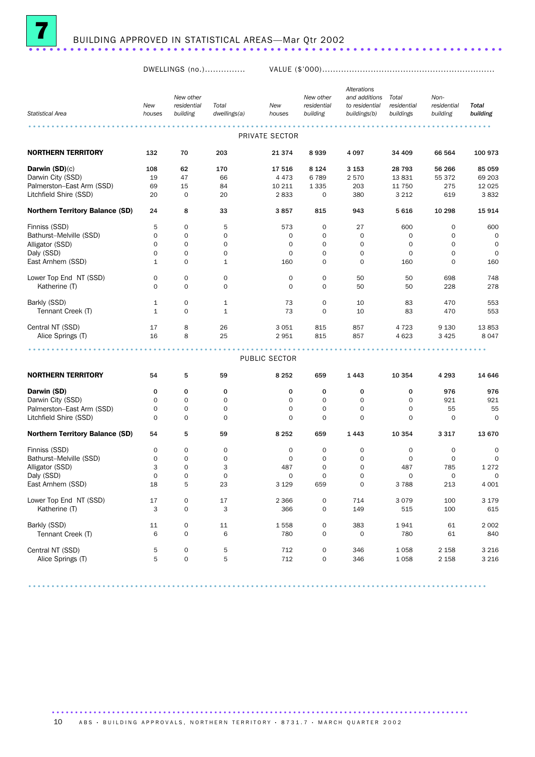

DWELLINGS (no.)............... VALUE (\$'000)................................................................

| <b>Statistical Area</b>                | New<br>houses | New other<br>residential<br>building | Total<br>dwellings(a) | New<br>houses  | New other<br>residential<br>building | Alterations<br>and additions<br>to residential<br>buildings(b) | Total<br>residential<br>buildings | Non-<br>residential<br>building | Total<br>building |
|----------------------------------------|---------------|--------------------------------------|-----------------------|----------------|--------------------------------------|----------------------------------------------------------------|-----------------------------------|---------------------------------|-------------------|
|                                        |               |                                      |                       |                |                                      |                                                                |                                   |                                 |                   |
|                                        |               |                                      |                       | PRIVATE SECTOR |                                      |                                                                |                                   |                                 |                   |
| <b>NORTHERN TERRITORY</b>              | 132           | 70                                   | 203                   | 21 374         | 8939                                 | 4097                                                           | 34 409                            | 66 564                          | 100 973           |
| Darwin $(SD)(c)$                       | 108           | 62                                   | 170                   | 17 516         | 8 1 2 4                              | 3 1 5 3                                                        | 28 793                            | 56 266                          | 85 059            |
| Darwin City (SSD)                      | 19            | 47                                   | 66                    | 4 4 7 3        | 6789                                 | 2570                                                           | 13831                             | 55 372                          | 69 203            |
| Palmerston-East Arm (SSD)              | 69            | 15                                   | 84                    | 10 211         | 1 3 3 5                              | 203                                                            | 11 750                            | 275                             | 12 0 25           |
| Litchfield Shire (SSD)                 | 20            | $\mathbf 0$                          | 20                    | 2833           | 0                                    | 380                                                            | 3 2 1 2                           | 619                             | 3832              |
| <b>Northern Territory Balance (SD)</b> | 24            | 8                                    | 33                    | 3857           | 815                                  | 943                                                            | 5616                              | 10 298                          | 15914             |
| Finniss (SSD)                          | 5             | $\mathbf 0$                          | 5                     | 573            | 0                                    | 27                                                             | 600                               | 0                               | 600               |
| Bathurst-Melville (SSD)                | 0             | $\mathbf 0$                          | $\mathbf 0$           | 0              | $\mathbf 0$                          | 0                                                              | 0                                 | $\mathbf 0$                     | 0                 |
| Alligator (SSD)                        | 0             | $\mathbf 0$                          | $\mathbf 0$           | $\mathbf 0$    | $\mathbf 0$                          | $\mathbf 0$                                                    | $\mathbf 0$                       | $\mathbf 0$                     | 0                 |
| Daly (SSD)                             | 0             | $\mathbf 0$                          | $\mathbf 0$           | 0              | 0                                    | 0                                                              | 0                                 | $\mathbf 0$                     | $\mathbf 0$       |
| East Arnhem (SSD)                      | $\mathbf{1}$  | $\mathbf 0$                          | $\mathbf{1}$          | 160            | 0                                    | 0                                                              | 160                               | $\mathbf 0$                     | 160               |
| Lower Top End NT (SSD)                 | 0             | $\mathbf 0$                          | 0                     | $\mathbf 0$    | 0                                    | 50                                                             | 50                                | 698                             | 748               |
| Katherine (T)                          | 0             | $\mathbf 0$                          | $\mathbf 0$           | $\Omega$       | $\mathbf 0$                          | 50                                                             | 50                                | 228                             | 278               |
| Barkly (SSD)                           | 1             | $\mathbf 0$                          | 1                     | 73             | 0                                    | 10                                                             | 83                                | 470                             | 553               |
| Tennant Creek (T)                      | 1             | $\mathbf 0$                          | $\mathbf{1}$          | 73             | $\mathbf 0$                          | 10                                                             | 83                                | 470                             | 553               |
| Central NT (SSD)                       | 17            | 8                                    | 26                    | 3 0 5 1        | 815                                  | 857                                                            | 4 7 2 3                           | 9 1 3 0                         | 13853             |
| Alice Springs (T)                      | 16            | 8                                    | 25                    | 2951           | 815                                  | 857                                                            | 4 6 23                            | 3 4 2 5                         | 8047              |
|                                        |               |                                      |                       |                |                                      |                                                                |                                   |                                 |                   |
|                                        |               |                                      |                       | PUBLIC SECTOR  |                                      |                                                                |                                   |                                 |                   |
| <b>NORTHERN TERRITORY</b>              | 54            | 5                                    | 59                    | 8 2 5 2        | 659                                  | 1443                                                           | 10 354                            | 4 2 9 3                         | 14 646            |
| Darwin (SD)                            | 0             | 0                                    | 0                     | 0              | 0                                    | 0                                                              | 0                                 | 976                             | 976               |
| Darwin City (SSD)                      | 0             | $\mathbf 0$                          | $\mathbf 0$           | $\mathbf 0$    | 0                                    | 0                                                              | 0                                 | 921                             | 921               |
| Palmerston-East Arm (SSD)              | 0             | $\mathbf 0$                          | 0                     | $\mathbf 0$    | $\mathbf 0$                          | $\mathbf 0$                                                    | $\mathbf 0$                       | 55                              | 55                |
| Litchfield Shire (SSD)                 | 0             | $\mathbf 0$                          | $\mathbf 0$           | $\Omega$       | $\mathbf 0$                          | 0                                                              | $\mathbf 0$                       | $\mathbf 0$                     | $\mathbf 0$       |
| <b>Northern Territory Balance (SD)</b> | 54            | 5                                    | 59                    | 8 2 5 2        | 659                                  | 1443                                                           | 10 354                            | 3 3 1 7                         | 13 670            |
| Finniss (SSD)                          | 0             | 0                                    | 0                     | 0              | 0                                    | 0                                                              | 0                                 | 0                               | 0                 |
| Bathurst-Melville (SSD)                | 0             | 0                                    | 0                     | 0              | 0                                    | 0                                                              | 0                                 | 0                               | 0                 |
| Alligator (SSD)                        | 3             | $\mathbf 0$                          | 3                     | 487            | $\mathbf 0$                          | 0                                                              | 487                               | 785                             | 1 2 7 2           |
| Daly (SSD)                             | 0             | $\mathbf 0$                          | $\mathbf 0$           | $\mathbf 0$    | $\mathbf 0$                          | 0                                                              | 0                                 | 0                               | 0                 |
| East Arnhem (SSD)                      | 18            | 5                                    | 23                    | 3 1 2 9        | 659                                  | $\mathbf 0$                                                    | 3788                              | 213                             | 4 0 0 1           |
| Lower Top End NT (SSD)                 | 17            | $\mathsf{O}\xspace$                  | 17                    | 2 3 6 6        | 0                                    | 714                                                            | 3079                              | 100                             | 3 1 7 9           |
| Katherine (T)                          | 3             | $\mathsf{O}\xspace$                  | 3                     | 366            | 0                                    | 149                                                            | 515                               | 100                             | 615               |
| Barkly (SSD)                           | $11\,$        | $\mathsf O$                          | 11                    | 1558           | 0                                    | 383                                                            | 1941                              | 61                              | 2 0 0 2           |
| Tennant Creek (T)                      | 6             | $\mathsf O$                          | 6                     | 780            | 0                                    | $\mathbf 0$                                                    | 780                               | 61                              | 840               |
| Central NT (SSD)                       | 5             | $\mathsf O$                          | 5                     | 712            | 0                                    | 346                                                            | 1058                              | 2 1 5 8                         | 3 2 1 6           |
| Alice Springs (T)                      | 5             | $\mathsf{O}\xspace$                  | 5                     | 712            | 0                                    | 346                                                            | 1058                              | 2 1 5 8                         | 3 2 1 6           |
|                                        |               |                                      |                       |                |                                      |                                                                |                                   |                                 |                   |

...................................................................................................

.......................................................................................... 10 A B S · BUILDING APPROVALS, NORTHERN TERRITORY · 8731.7 · MARCH QUARTER 2002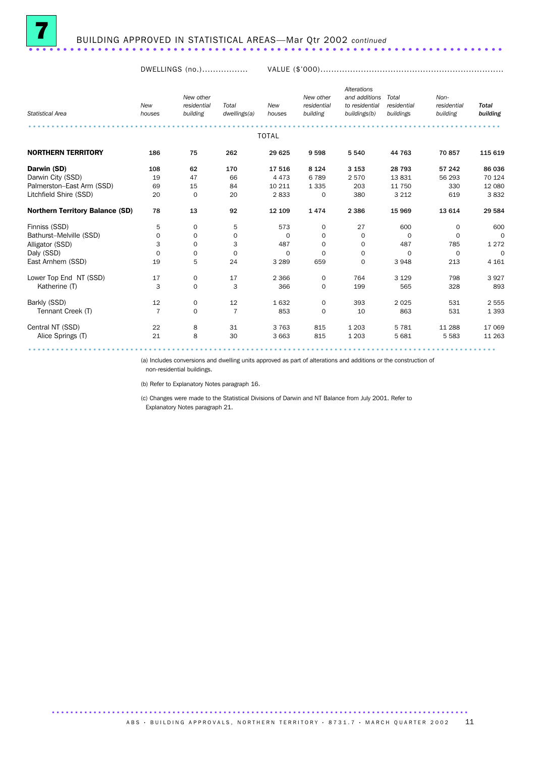

DWELLINGS (no.)................. VALUE (\$'000)....................................................................

| <b>Statistical Area</b>                | New<br>houses  | New other<br>residential<br>building | Total<br>dwellings(a) | New<br>houses | New other<br>residential<br>building | Alterations<br>and additions<br>to residential<br>buildings(b) | Total<br>residential<br>buildings | Non-<br>residential<br>building | <b>Total</b><br>building |
|----------------------------------------|----------------|--------------------------------------|-----------------------|---------------|--------------------------------------|----------------------------------------------------------------|-----------------------------------|---------------------------------|--------------------------|
|                                        |                |                                      |                       | <b>TOTAL</b>  |                                      |                                                                |                                   |                                 |                          |
| <b>NORTHERN TERRITORY</b>              | 186            | 75                                   | 262                   | 29 625        | 9598                                 | 5 5 4 0                                                        | 44 763                            | 70 857                          | 115 619                  |
| Darwin (SD)                            | 108            | 62                                   | 170                   | 17 516        | 8 1 2 4                              | 3 1 5 3                                                        | 28 7 9 3                          | 57 242                          | 86 036                   |
| Darwin City (SSD)                      | 19             | 47                                   | 66                    | 4 4 7 3       | 6789                                 | 2570                                                           | 13831                             | 56 293                          | 70 124                   |
| Palmerston-East Arm (SSD)              | 69             | 15                                   | 84                    | 10 211        | 1 3 3 5                              | 203                                                            | 11 750                            | 330                             | 12 080                   |
| Litchfield Shire (SSD)                 | 20             | 0                                    | 20                    | 2833          | $\mathbf 0$                          | 380                                                            | 3 2 1 2                           | 619                             | 3832                     |
| <b>Northern Territory Balance (SD)</b> | 78             | 13                                   | 92                    | 12 109        | 1474                                 | 2 3 8 6                                                        | 15 969                            | 13 614                          | 29 584                   |
| Finniss (SSD)                          | 5              | 0                                    | 5                     | 573           | 0                                    | 27                                                             | 600                               | 0                               | 600                      |
| Bathurst-Melville (SSD)                | 0              | 0                                    | 0                     | $\Omega$      | $\mathbf 0$                          | $\mathbf 0$                                                    | $\mathbf 0$                       | $\Omega$                        | $\mathbf 0$              |
| Alligator (SSD)                        | 3              | $\mathbf 0$                          | 3                     | 487           | 0                                    | 0                                                              | 487                               | 785                             | 1 2 7 2                  |
| Daly (SSD)                             | 0              | $\mathbf 0$                          | 0                     | $\Omega$      | $\mathbf 0$                          | 0                                                              | $\Omega$                          | 0                               | $\Omega$                 |
| East Arnhem (SSD)                      | 19             | 5                                    | 24                    | 3 2 8 9       | 659                                  | $\mathbf 0$                                                    | 3948                              | 213                             | 4 1 6 1                  |
| Lower Top End NT (SSD)                 | 17             | $\mathbf 0$                          | 17                    | 2 3 6 6       | 0                                    | 764                                                            | 3 1 2 9                           | 798                             | 3927                     |
| Katherine (T)                          | 3              | $\mathbf 0$                          | 3                     | 366           | 0                                    | 199                                                            | 565                               | 328                             | 893                      |
| Barkly (SSD)                           | 12             | 0                                    | 12                    | 1632          | $\mathbf 0$                          | 393                                                            | 2 0 2 5                           | 531                             | 2 5 5 5                  |
| Tennant Creek (T)                      | $\overline{7}$ | $\mathbf 0$                          | $\overline{7}$        | 853           | 0                                    | 10                                                             | 863                               | 531                             | 1 3 9 3                  |
| Central NT (SSD)                       | 22             | 8                                    | 31                    | 3 7 6 3       | 815                                  | 1 2 0 3                                                        | 5 7 8 1                           | 11 288                          | 17 069                   |
| Alice Springs (T)                      | 21             | 8                                    | 30                    | 3 6 6 3       | 815                                  | 1 2 0 3                                                        | 5 6 8 1                           | 5 5 8 3                         | 11 263                   |
|                                        |                |                                      |                       |               |                                      |                                                                |                                   |                                 |                          |

(a) Includes conversions and dwelling units approved as part of alterations and additions or the construction of

non-residential buildings.

(b) Refer to Explanatory Notes paragraph 16.

(c) Changes were made to the Statistical Divisions of Darwin and NT Balance from July 2001. Refer to Explanatory Notes paragraph 21.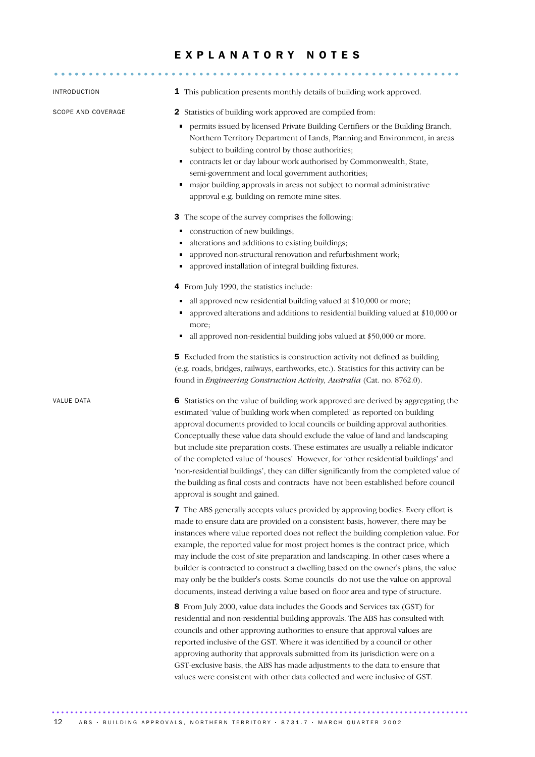# E X P L A N A T O R Y N O T E S

| INTRODUCTION       | 1 This publication presents monthly details of building work approved.                                                                                                                                                                                                                                                                                                                                                                                                                                                                                                                                                                                                                                                               |
|--------------------|--------------------------------------------------------------------------------------------------------------------------------------------------------------------------------------------------------------------------------------------------------------------------------------------------------------------------------------------------------------------------------------------------------------------------------------------------------------------------------------------------------------------------------------------------------------------------------------------------------------------------------------------------------------------------------------------------------------------------------------|
| SCOPE AND COVERAGE | <b>2</b> Statistics of building work approved are compiled from:<br>permits issued by licensed Private Building Certifiers or the Building Branch,<br>Northern Territory Department of Lands, Planning and Environment, in areas<br>subject to building control by those authorities;<br>contracts let or day labour work authorised by Commonwealth, State,<br>semi-government and local government authorities;<br>major building approvals in areas not subject to normal administrative<br>٠<br>approval e.g. building on remote mine sites.<br>3 The scope of the survey comprises the following:<br>construction of new buildings;<br>٠                                                                                        |
|                    | alterations and additions to existing buildings;<br>approved non-structural renovation and refurbishment work;<br>approved installation of integral building fixtures.<br>٠                                                                                                                                                                                                                                                                                                                                                                                                                                                                                                                                                          |
|                    | 4 From July 1990, the statistics include:<br>all approved new residential building valued at \$10,000 or more;<br>approved alterations and additions to residential building valued at \$10,000 or<br>more;<br>all approved non-residential building jobs valued at \$50,000 or more.<br>٠                                                                                                                                                                                                                                                                                                                                                                                                                                           |
|                    | 5 Excluded from the statistics is construction activity not defined as building<br>(e.g. roads, bridges, railways, earthworks, etc.). Statistics for this activity can be<br>found in Engineering Construction Activity, Australia (Cat. no. 8762.0).                                                                                                                                                                                                                                                                                                                                                                                                                                                                                |
| VALUE DATA         | 6 Statistics on the value of building work approved are derived by aggregating the<br>estimated 'value of building work when completed' as reported on building<br>approval documents provided to local councils or building approval authorities.<br>Conceptually these value data should exclude the value of land and landscaping<br>but include site preparation costs. These estimates are usually a reliable indicator<br>of the completed value of 'houses'. However, for 'other residential buildings' and<br>'non-residential buildings', they can differ significantly from the completed value of<br>the building as final costs and contracts have not been established before council<br>approval is sought and gained. |
|                    | 7 The ABS generally accepts values provided by approving bodies. Every effort is<br>made to ensure data are provided on a consistent basis, however, there may be<br>instances where value reported does not reflect the building completion value. For<br>example, the reported value for most project homes is the contract price, which<br>may include the cost of site preparation and landscaping. In other cases where a<br>builder is contracted to construct a dwelling based on the owner's plans, the value<br>may only be the builder's costs. Some councils do not use the value on approval<br>documents, instead deriving a value based on floor area and type of structure.                                           |
|                    | 8 From July 2000, value data includes the Goods and Services tax (GST) for<br>residential and non-residential building approvals. The ABS has consulted with<br>councils and other approving authorities to ensure that approval values are<br>reported inclusive of the GST. Where it was identified by a council or other<br>approving authority that approvals submitted from its jurisdiction were on a<br>GST-exclusive basis, the ABS has made adjustments to the data to ensure that<br>values were consistent with other data collected and were inclusive of GST.                                                                                                                                                           |

12 ABS · BUILDING APPROVALS, NORTHERN TERRITORY · 8731.7 · MARCH QUARTER 2002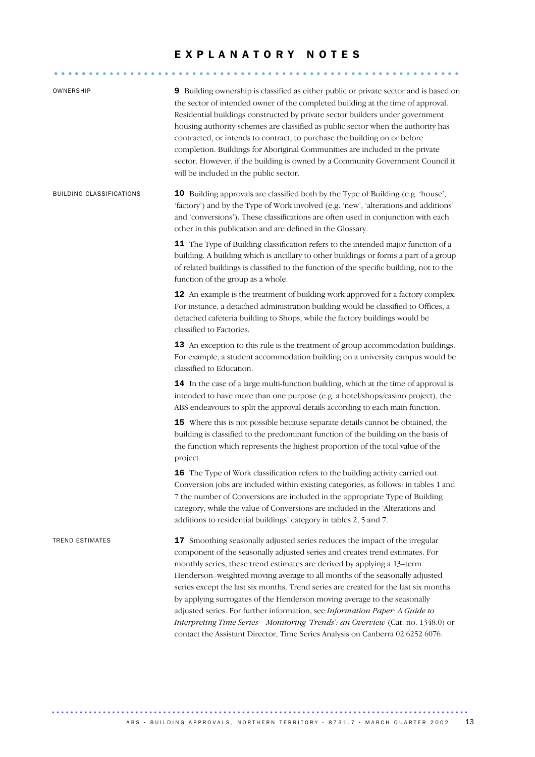# EXPLANATORY NOTES

........................................................... .....

| OWNERSHIP                | 9 Building ownership is classified as either public or private sector and is based on<br>the sector of intended owner of the completed building at the time of approval.<br>Residential buildings constructed by private sector builders under government<br>housing authority schemes are classified as public sector when the authority has<br>contracted, or intends to contract, to purchase the building on or before<br>completion. Buildings for Aboriginal Communities are included in the private<br>sector. However, if the building is owned by a Community Government Council it<br>will be included in the public sector.                                                                                                     |
|--------------------------|--------------------------------------------------------------------------------------------------------------------------------------------------------------------------------------------------------------------------------------------------------------------------------------------------------------------------------------------------------------------------------------------------------------------------------------------------------------------------------------------------------------------------------------------------------------------------------------------------------------------------------------------------------------------------------------------------------------------------------------------|
| BUILDING CLASSIFICATIONS | <b>10</b> Building approvals are classified both by the Type of Building (e.g. 'house',<br>'factory') and by the Type of Work involved (e.g. 'new', 'alterations and additions'<br>and 'conversions'). These classifications are often used in conjunction with each<br>other in this publication and are defined in the Glossary.                                                                                                                                                                                                                                                                                                                                                                                                         |
|                          | 11 The Type of Building classification refers to the intended major function of a<br>building. A building which is ancillary to other buildings or forms a part of a group<br>of related buildings is classified to the function of the specific building, not to the<br>function of the group as a whole.                                                                                                                                                                                                                                                                                                                                                                                                                                 |
|                          | 12 An example is the treatment of building work approved for a factory complex.<br>For instance, a detached administration building would be classified to Offices, a<br>detached cafeteria building to Shops, while the factory buildings would be<br>classified to Factories.                                                                                                                                                                                                                                                                                                                                                                                                                                                            |
|                          | 13 An exception to this rule is the treatment of group accommodation buildings.<br>For example, a student accommodation building on a university campus would be<br>classified to Education.                                                                                                                                                                                                                                                                                                                                                                                                                                                                                                                                               |
|                          | 14 In the case of a large multi-function building, which at the time of approval is<br>intended to have more than one purpose (e.g. a hotel/shops/casino project), the<br>ABS endeavours to split the approval details according to each main function.                                                                                                                                                                                                                                                                                                                                                                                                                                                                                    |
|                          | 15 Where this is not possible because separate details cannot be obtained, the<br>building is classified to the predominant function of the building on the basis of<br>the function which represents the highest proportion of the total value of the<br>project.                                                                                                                                                                                                                                                                                                                                                                                                                                                                         |
|                          | 16 The Type of Work classification refers to the building activity carried out.<br>Conversion jobs are included within existing categories, as follows: in tables 1 and<br>7 the number of Conversions are included in the appropriate Type of Building<br>category, while the value of Conversions are included in the 'Alterations and<br>additions to residential buildings' category in tables 2, 5 and 7.                                                                                                                                                                                                                                                                                                                             |
| <b>TREND ESTIMATES</b>   | 17 Smoothing seasonally adjusted series reduces the impact of the irregular<br>component of the seasonally adjusted series and creates trend estimates. For<br>monthly series, these trend estimates are derived by applying a 13-term<br>Henderson-weighted moving average to all months of the seasonally adjusted<br>series except the last six months. Trend series are created for the last six months<br>by applying surrogates of the Henderson moving average to the seasonally<br>adjusted series. For further information, see Information Paper: A Guide to<br>Interpreting Time Series-Monitoring 'Trends': an Overview (Cat. no. 1348.0) or<br>contact the Assistant Director, Time Series Analysis on Canberra 02 6252 6076. |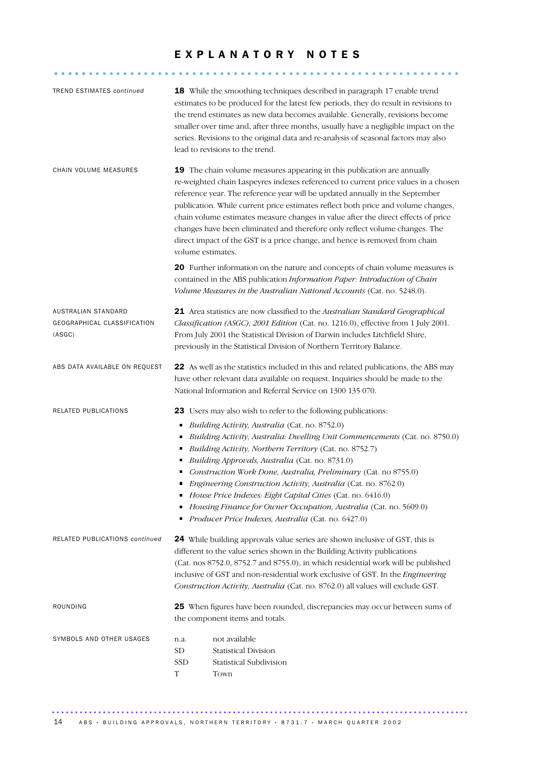# EXPLANATORY NOTES

........................................................... .....

| <b>TREND ESTIMATES continued</b>                             |                                         | 18 While the smoothing techniques described in paragraph 17 enable trend<br>estimates to be produced for the latest few periods, they do result in revisions to<br>the trend estimates as new data becomes available. Generally, revisions become<br>smaller over time and, after three months, usually have a negligible impact on the<br>series. Revisions to the original data and re-analysis of seasonal factors may also<br>lead to revisions to the trend.                                                                                                                                                                             |
|--------------------------------------------------------------|-----------------------------------------|-----------------------------------------------------------------------------------------------------------------------------------------------------------------------------------------------------------------------------------------------------------------------------------------------------------------------------------------------------------------------------------------------------------------------------------------------------------------------------------------------------------------------------------------------------------------------------------------------------------------------------------------------|
| CHAIN VOLUME MEASURES                                        | volume estimates.                       | <b>19</b> The chain volume measures appearing in this publication are annually<br>re-weighted chain Laspeyres indexes referenced to current price values in a chosen<br>reference year. The reference year will be updated annually in the September<br>publication. While current price estimates reflect both price and volume changes,<br>chain volume estimates measure changes in value after the direct effects of price<br>changes have been eliminated and therefore only reflect volume changes. The<br>direct impact of the GST is a price change, and hence is removed from chain                                                  |
|                                                              |                                         | 20 Further information on the nature and concepts of chain volume measures is<br>contained in the ABS publication Information Paper: Introduction of Chain<br>Volume Measures in the Australian National Accounts (Cat. no. 5248.0).                                                                                                                                                                                                                                                                                                                                                                                                          |
| AUSTRALIAN STANDARD<br>GEOGRAPHICAL CLASSIFICATION<br>(ASGC) |                                         | 21 Area statistics are now classified to the Australian Standard Geographical<br>Classification (ASGC), 2001 Edition (Cat. no. 1216.0), effective from 1 July 2001.<br>From July 2001 the Statistical Division of Darwin includes Litchfield Shire,<br>previously in the Statistical Division of Northern Territory Balance.                                                                                                                                                                                                                                                                                                                  |
| ABS DATA AVAILABLE ON REQUEST                                |                                         | 22 As well as the statistics included in this and related publications, the ABS may<br>have other relevant data available on request. Inquiries should be made to the<br>National Information and Referral Service on 1300 135 070.                                                                                                                                                                                                                                                                                                                                                                                                           |
| RELATED PUBLICATIONS                                         | Ξ<br>٠<br>٠<br>Ξ<br>٠                   | 23 Users may also wish to refer to the following publications:<br>Building Activity, Australia (Cat. no. 8752.0)<br>Building Activity, Australia: Dwelling Unit Commencements (Cat. no. 8750.0)<br>Building Activity, Northern Territory (Cat. no. 8752.7)<br>Building Approvals, Australia (Cat. no. 8731.0)<br>Construction Work Done, Australia, Preliminary (Cat. no 8755.0)<br>Engineering Construction Activity, Australia (Cat. no. 8762.0)<br>House Price Indexes: Eight Capital Cities (Cat. no. 6416.0)<br>Housing Finance for Owner Occupation, Australia (Cat. no. 5609.0)<br>Producer Price Indexes, Australia (Cat. no. 6427.0) |
| <b>RELATED PUBLICATIONS continued</b>                        |                                         | 24 While building approvals value series are shown inclusive of GST, this is<br>different to the value series shown in the Building Activity publications<br>(Cat. nos 8752.0, 8752.7 and 8755.0), in which residential work will be published<br>inclusive of GST and non-residential work exclusive of GST. In the Engineering<br>Construction Activity, Australia (Cat. no. 8762.0) all values will exclude GST.                                                                                                                                                                                                                           |
| ROUNDING                                                     |                                         | 25 When figures have been rounded, discrepancies may occur between sums of<br>the component items and totals.                                                                                                                                                                                                                                                                                                                                                                                                                                                                                                                                 |
| SYMBOLS AND OTHER USAGES                                     | n.a.<br>SD<br><b>SSD</b><br>$\mathbf T$ | not available<br><b>Statistical Division</b><br>Statistical Subdivision<br>Town                                                                                                                                                                                                                                                                                                                                                                                                                                                                                                                                                               |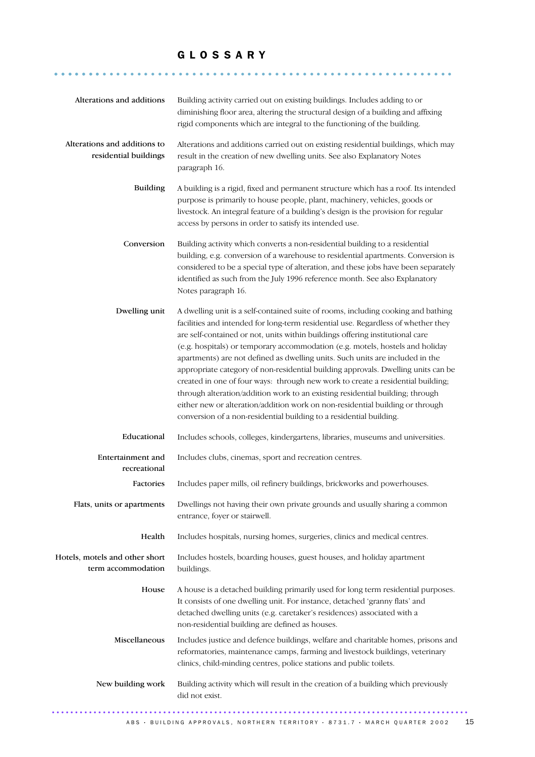## G L O S S A R Y

.......................................................... .......

| Alterations and additions to<br>Alterations and additions carried out on existing residential buildings, which may<br>residential buildings<br>result in the creation of new dwelling units. See also Explanatory Notes<br>paragraph 16.<br><b>Building</b><br>A building is a rigid, fixed and permanent structure which has a roof. Its intended<br>purpose is primarily to house people, plant, machinery, vehicles, goods or<br>livestock. An integral feature of a building's design is the provision for regular<br>access by persons in order to satisfy its intended use.<br>Conversion<br>Building activity which converts a non-residential building to a residential<br>building, e.g. conversion of a warehouse to residential apartments. Conversion is<br>considered to be a special type of alteration, and these jobs have been separately<br>identified as such from the July 1996 reference month. See also Explanatory<br>Notes paragraph 16.<br>Dwelling unit<br>A dwelling unit is a self-contained suite of rooms, including cooking and bathing<br>facilities and intended for long-term residential use. Regardless of whether they<br>are self-contained or not, units within buildings offering institutional care<br>(e.g. hospitals) or temporary accommodation (e.g. motels, hostels and holiday<br>apartments) are not defined as dwelling units. Such units are included in the<br>appropriate category of non-residential building approvals. Dwelling units can be<br>created in one of four ways: through new work to create a residential building;<br>through alteration/addition work to an existing residential building; through<br>either new or alteration/addition work on non-residential building or through<br>conversion of a non-residential building to a residential building.<br>Educational<br>Includes schools, colleges, kindergartens, libraries, museums and universities.<br>Entertainment and<br>Includes clubs, cinemas, sport and recreation centres.<br>recreational<br>Includes paper mills, oil refinery buildings, brickworks and powerhouses.<br>Factories<br>Dwellings not having their own private grounds and usually sharing a common<br>Flats, units or apartments<br>entrance, foyer or stairwell.<br>Health<br>Includes hospitals, nursing homes, surgeries, clinics and medical centres.<br>Hotels, motels and other short<br>Includes hostels, boarding houses, guest houses, and holiday apartment<br>term accommodation<br>buildings.<br>House<br>A house is a detached building primarily used for long term residential purposes.<br>It consists of one dwelling unit. For instance, detached 'granny flats' and<br>detached dwelling units (e.g. caretaker's residences) associated with a<br>non-residential building are defined as houses.<br>Miscellaneous<br>Includes justice and defence buildings, welfare and charitable homes, prisons and<br>reformatories, maintenance camps, farming and livestock buildings, veterinary<br>clinics, child-minding centres, police stations and public toilets.<br>New building work<br>Building activity which will result in the creation of a building which previously<br>did not exist. | Alterations and additions | Building activity carried out on existing buildings. Includes adding to or<br>diminishing floor area, altering the structural design of a building and affixing<br>rigid components which are integral to the functioning of the building. |
|------------------------------------------------------------------------------------------------------------------------------------------------------------------------------------------------------------------------------------------------------------------------------------------------------------------------------------------------------------------------------------------------------------------------------------------------------------------------------------------------------------------------------------------------------------------------------------------------------------------------------------------------------------------------------------------------------------------------------------------------------------------------------------------------------------------------------------------------------------------------------------------------------------------------------------------------------------------------------------------------------------------------------------------------------------------------------------------------------------------------------------------------------------------------------------------------------------------------------------------------------------------------------------------------------------------------------------------------------------------------------------------------------------------------------------------------------------------------------------------------------------------------------------------------------------------------------------------------------------------------------------------------------------------------------------------------------------------------------------------------------------------------------------------------------------------------------------------------------------------------------------------------------------------------------------------------------------------------------------------------------------------------------------------------------------------------------------------------------------------------------------------------------------------------------------------------------------------------------------------------------------------------------------------------------------------------------------------------------------------------------------------------------------------------------------------------------------------------------------------------------------------------------------------------------------------------------------------------------------------------------------------------------------------------------------------------------------------------------------------------------------------------------------------------------------------------------------------------------------------------------------------------------------------------------------------------------------------------------------------------------------------------------------------------------------------------------------------------------------------------------------------------------------------------------------------------------------------------|---------------------------|--------------------------------------------------------------------------------------------------------------------------------------------------------------------------------------------------------------------------------------------|
|                                                                                                                                                                                                                                                                                                                                                                                                                                                                                                                                                                                                                                                                                                                                                                                                                                                                                                                                                                                                                                                                                                                                                                                                                                                                                                                                                                                                                                                                                                                                                                                                                                                                                                                                                                                                                                                                                                                                                                                                                                                                                                                                                                                                                                                                                                                                                                                                                                                                                                                                                                                                                                                                                                                                                                                                                                                                                                                                                                                                                                                                                                                                                                                                                        |                           |                                                                                                                                                                                                                                            |
|                                                                                                                                                                                                                                                                                                                                                                                                                                                                                                                                                                                                                                                                                                                                                                                                                                                                                                                                                                                                                                                                                                                                                                                                                                                                                                                                                                                                                                                                                                                                                                                                                                                                                                                                                                                                                                                                                                                                                                                                                                                                                                                                                                                                                                                                                                                                                                                                                                                                                                                                                                                                                                                                                                                                                                                                                                                                                                                                                                                                                                                                                                                                                                                                                        |                           |                                                                                                                                                                                                                                            |
|                                                                                                                                                                                                                                                                                                                                                                                                                                                                                                                                                                                                                                                                                                                                                                                                                                                                                                                                                                                                                                                                                                                                                                                                                                                                                                                                                                                                                                                                                                                                                                                                                                                                                                                                                                                                                                                                                                                                                                                                                                                                                                                                                                                                                                                                                                                                                                                                                                                                                                                                                                                                                                                                                                                                                                                                                                                                                                                                                                                                                                                                                                                                                                                                                        |                           |                                                                                                                                                                                                                                            |
|                                                                                                                                                                                                                                                                                                                                                                                                                                                                                                                                                                                                                                                                                                                                                                                                                                                                                                                                                                                                                                                                                                                                                                                                                                                                                                                                                                                                                                                                                                                                                                                                                                                                                                                                                                                                                                                                                                                                                                                                                                                                                                                                                                                                                                                                                                                                                                                                                                                                                                                                                                                                                                                                                                                                                                                                                                                                                                                                                                                                                                                                                                                                                                                                                        |                           |                                                                                                                                                                                                                                            |
|                                                                                                                                                                                                                                                                                                                                                                                                                                                                                                                                                                                                                                                                                                                                                                                                                                                                                                                                                                                                                                                                                                                                                                                                                                                                                                                                                                                                                                                                                                                                                                                                                                                                                                                                                                                                                                                                                                                                                                                                                                                                                                                                                                                                                                                                                                                                                                                                                                                                                                                                                                                                                                                                                                                                                                                                                                                                                                                                                                                                                                                                                                                                                                                                                        |                           |                                                                                                                                                                                                                                            |
|                                                                                                                                                                                                                                                                                                                                                                                                                                                                                                                                                                                                                                                                                                                                                                                                                                                                                                                                                                                                                                                                                                                                                                                                                                                                                                                                                                                                                                                                                                                                                                                                                                                                                                                                                                                                                                                                                                                                                                                                                                                                                                                                                                                                                                                                                                                                                                                                                                                                                                                                                                                                                                                                                                                                                                                                                                                                                                                                                                                                                                                                                                                                                                                                                        |                           |                                                                                                                                                                                                                                            |
|                                                                                                                                                                                                                                                                                                                                                                                                                                                                                                                                                                                                                                                                                                                                                                                                                                                                                                                                                                                                                                                                                                                                                                                                                                                                                                                                                                                                                                                                                                                                                                                                                                                                                                                                                                                                                                                                                                                                                                                                                                                                                                                                                                                                                                                                                                                                                                                                                                                                                                                                                                                                                                                                                                                                                                                                                                                                                                                                                                                                                                                                                                                                                                                                                        |                           |                                                                                                                                                                                                                                            |
|                                                                                                                                                                                                                                                                                                                                                                                                                                                                                                                                                                                                                                                                                                                                                                                                                                                                                                                                                                                                                                                                                                                                                                                                                                                                                                                                                                                                                                                                                                                                                                                                                                                                                                                                                                                                                                                                                                                                                                                                                                                                                                                                                                                                                                                                                                                                                                                                                                                                                                                                                                                                                                                                                                                                                                                                                                                                                                                                                                                                                                                                                                                                                                                                                        |                           |                                                                                                                                                                                                                                            |
|                                                                                                                                                                                                                                                                                                                                                                                                                                                                                                                                                                                                                                                                                                                                                                                                                                                                                                                                                                                                                                                                                                                                                                                                                                                                                                                                                                                                                                                                                                                                                                                                                                                                                                                                                                                                                                                                                                                                                                                                                                                                                                                                                                                                                                                                                                                                                                                                                                                                                                                                                                                                                                                                                                                                                                                                                                                                                                                                                                                                                                                                                                                                                                                                                        |                           |                                                                                                                                                                                                                                            |
|                                                                                                                                                                                                                                                                                                                                                                                                                                                                                                                                                                                                                                                                                                                                                                                                                                                                                                                                                                                                                                                                                                                                                                                                                                                                                                                                                                                                                                                                                                                                                                                                                                                                                                                                                                                                                                                                                                                                                                                                                                                                                                                                                                                                                                                                                                                                                                                                                                                                                                                                                                                                                                                                                                                                                                                                                                                                                                                                                                                                                                                                                                                                                                                                                        |                           |                                                                                                                                                                                                                                            |
|                                                                                                                                                                                                                                                                                                                                                                                                                                                                                                                                                                                                                                                                                                                                                                                                                                                                                                                                                                                                                                                                                                                                                                                                                                                                                                                                                                                                                                                                                                                                                                                                                                                                                                                                                                                                                                                                                                                                                                                                                                                                                                                                                                                                                                                                                                                                                                                                                                                                                                                                                                                                                                                                                                                                                                                                                                                                                                                                                                                                                                                                                                                                                                                                                        |                           |                                                                                                                                                                                                                                            |
|                                                                                                                                                                                                                                                                                                                                                                                                                                                                                                                                                                                                                                                                                                                                                                                                                                                                                                                                                                                                                                                                                                                                                                                                                                                                                                                                                                                                                                                                                                                                                                                                                                                                                                                                                                                                                                                                                                                                                                                                                                                                                                                                                                                                                                                                                                                                                                                                                                                                                                                                                                                                                                                                                                                                                                                                                                                                                                                                                                                                                                                                                                                                                                                                                        |                           |                                                                                                                                                                                                                                            |
|                                                                                                                                                                                                                                                                                                                                                                                                                                                                                                                                                                                                                                                                                                                                                                                                                                                                                                                                                                                                                                                                                                                                                                                                                                                                                                                                                                                                                                                                                                                                                                                                                                                                                                                                                                                                                                                                                                                                                                                                                                                                                                                                                                                                                                                                                                                                                                                                                                                                                                                                                                                                                                                                                                                                                                                                                                                                                                                                                                                                                                                                                                                                                                                                                        |                           |                                                                                                                                                                                                                                            |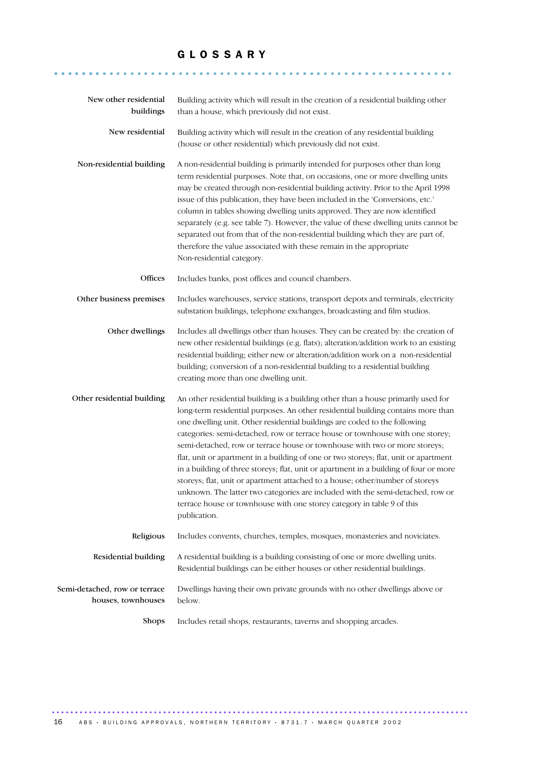## G L O S S A R Y

.......................................................... .......

| New other residential<br>buildings                  | Building activity which will result in the creation of a residential building other<br>than a house, which previously did not exist.                                                                                                                                                                                                                                                                                                                                                                                                                                                                                                                                                                                                                                                                                                                            |
|-----------------------------------------------------|-----------------------------------------------------------------------------------------------------------------------------------------------------------------------------------------------------------------------------------------------------------------------------------------------------------------------------------------------------------------------------------------------------------------------------------------------------------------------------------------------------------------------------------------------------------------------------------------------------------------------------------------------------------------------------------------------------------------------------------------------------------------------------------------------------------------------------------------------------------------|
| New residential                                     | Building activity which will result in the creation of any residential building<br>(house or other residential) which previously did not exist.                                                                                                                                                                                                                                                                                                                                                                                                                                                                                                                                                                                                                                                                                                                 |
| Non-residential building                            | A non-residential building is primarily intended for purposes other than long<br>term residential purposes. Note that, on occasions, one or more dwelling units<br>may be created through non-residential building activity. Prior to the April 1998<br>issue of this publication, they have been included in the 'Conversions, etc.'<br>column in tables showing dwelling units approved. They are now identified<br>separately (e.g. see table 7). However, the value of these dwelling units cannot be<br>separated out from that of the non-residential building which they are part of,<br>therefore the value associated with these remain in the appropriate<br>Non-residential category.                                                                                                                                                                |
| Offices                                             | Includes banks, post offices and council chambers.                                                                                                                                                                                                                                                                                                                                                                                                                                                                                                                                                                                                                                                                                                                                                                                                              |
| Other business premises                             | Includes warehouses, service stations, transport depots and terminals, electricity<br>substation buildings, telephone exchanges, broadcasting and film studios.                                                                                                                                                                                                                                                                                                                                                                                                                                                                                                                                                                                                                                                                                                 |
| Other dwellings                                     | Includes all dwellings other than houses. They can be created by: the creation of<br>new other residential buildings (e.g. flats); alteration/addition work to an existing<br>residential building; either new or alteration/addition work on a non-residential<br>building; conversion of a non-residential building to a residential building<br>creating more than one dwelling unit.                                                                                                                                                                                                                                                                                                                                                                                                                                                                        |
| Other residential building                          | An other residential building is a building other than a house primarily used for<br>long-term residential purposes. An other residential building contains more than<br>one dwelling unit. Other residential buildings are coded to the following<br>categories: semi-detached, row or terrace house or townhouse with one storey;<br>semi-detached, row or terrace house or townhouse with two or more storeys;<br>flat, unit or apartment in a building of one or two storeys; flat, unit or apartment<br>in a building of three storeys; flat, unit or apartment in a building of four or more<br>storeys; flat, unit or apartment attached to a house; other/number of storeys<br>unknown. The latter two categories are included with the semi-detached, row or<br>terrace house or townhouse with one storey category in table 9 of this<br>publication. |
| Religious                                           | Includes convents, churches, temples, mosques, monasteries and noviciates.                                                                                                                                                                                                                                                                                                                                                                                                                                                                                                                                                                                                                                                                                                                                                                                      |
| Residential building                                | A residential building is a building consisting of one or more dwelling units.<br>Residential buildings can be either houses or other residential buildings.                                                                                                                                                                                                                                                                                                                                                                                                                                                                                                                                                                                                                                                                                                    |
| Semi-detached, row or terrace<br>houses, townhouses | Dwellings having their own private grounds with no other dwellings above or<br>below.                                                                                                                                                                                                                                                                                                                                                                                                                                                                                                                                                                                                                                                                                                                                                                           |
| Shops                                               | Includes retail shops, restaurants, taverns and shopping arcades.                                                                                                                                                                                                                                                                                                                                                                                                                                                                                                                                                                                                                                                                                                                                                                                               |